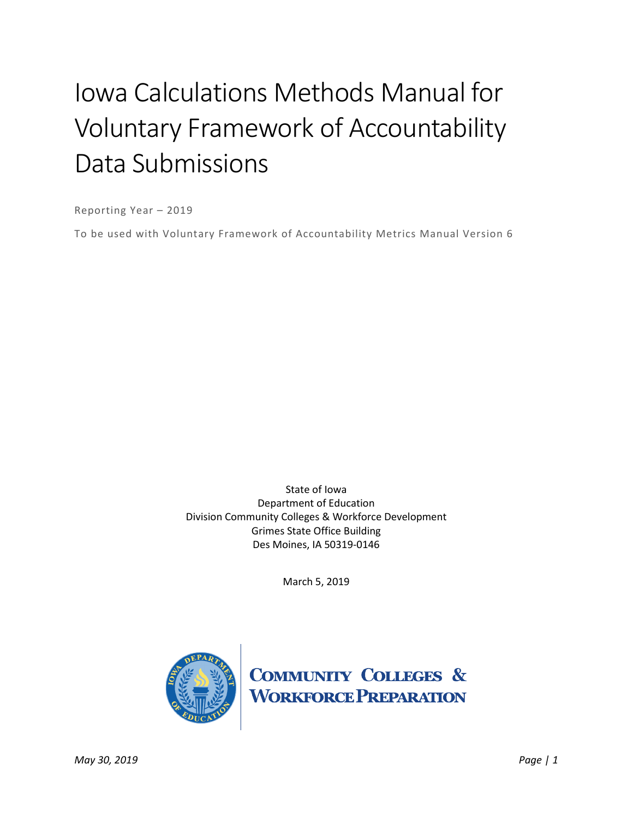# Iowa Calculations Methods Manual for Voluntary Framework of Accountability Data Submissions

Reporting Year – 2019

To be used with Voluntary Framework of Accountability Metrics Manual Version 6

State of Iowa Department of Education Division Community Colleges & Workforce Development Grimes State Office Building Des Moines, IA 50319-0146

March 5, 2019



**COMMUNITY COLLEGES & WORKFORCE PREPARATION**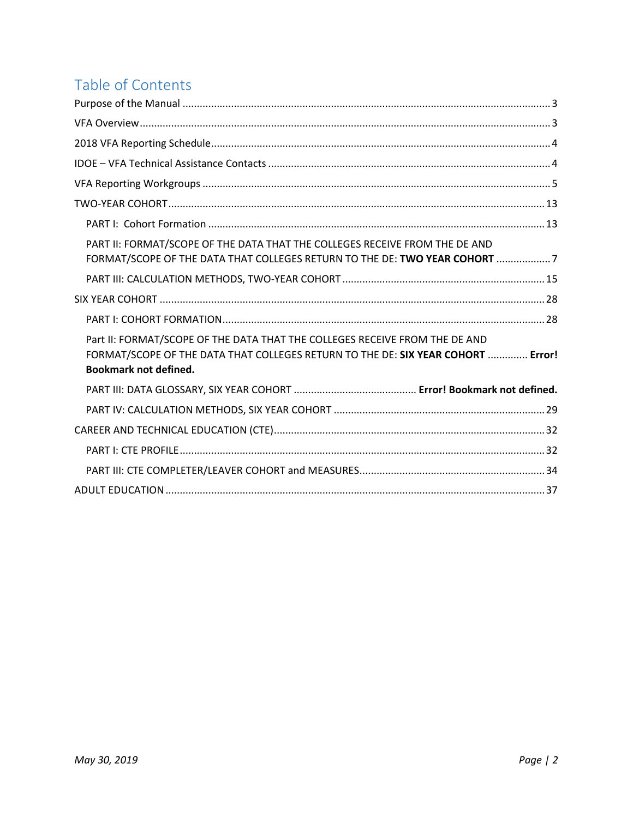# Table of Contents

| PART II: FORMAT/SCOPE OF THE DATA THAT THE COLLEGES RECEIVE FROM THE DE AND<br>FORMAT/SCOPE OF THE DATA THAT COLLEGES RETURN TO THE DE: TWO YEAR COHORT 7                                       |
|-------------------------------------------------------------------------------------------------------------------------------------------------------------------------------------------------|
|                                                                                                                                                                                                 |
|                                                                                                                                                                                                 |
|                                                                                                                                                                                                 |
| Part II: FORMAT/SCOPE OF THE DATA THAT THE COLLEGES RECEIVE FROM THE DE AND<br>FORMAT/SCOPE OF THE DATA THAT COLLEGES RETURN TO THE DE: SIX YEAR COHORT  Error!<br><b>Bookmark not defined.</b> |
|                                                                                                                                                                                                 |
|                                                                                                                                                                                                 |
|                                                                                                                                                                                                 |
|                                                                                                                                                                                                 |
|                                                                                                                                                                                                 |
|                                                                                                                                                                                                 |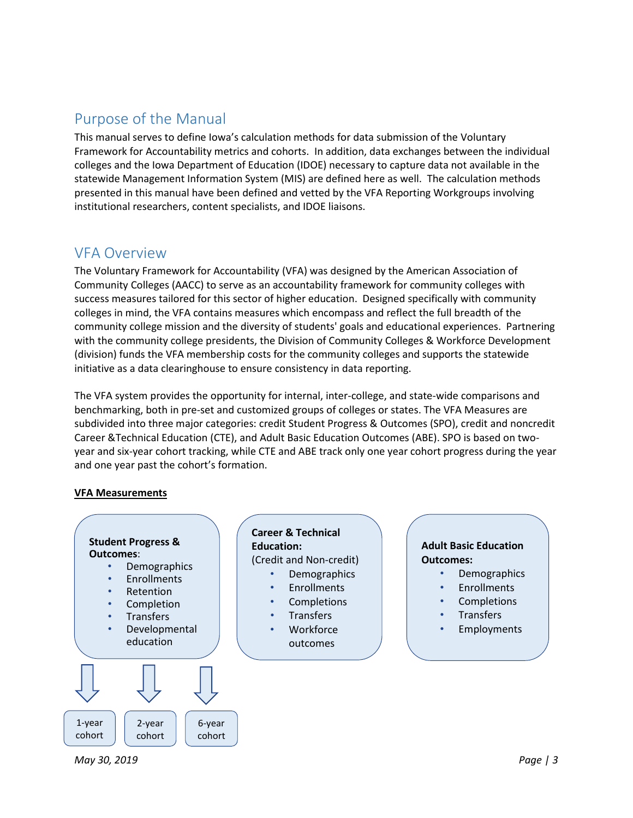# <span id="page-2-0"></span>Purpose of the Manual

This manual serves to define Iowa's calculation methods for data submission of the Voluntary Framework for Accountability metrics and cohorts. In addition, data exchanges between the individual colleges and the Iowa Department of Education (IDOE) necessary to capture data not available in the statewide Management Information System (MIS) are defined here as well. The calculation methods presented in this manual have been defined and vetted by the VFA Reporting Workgroups involving institutional researchers, content specialists, and IDOE liaisons.

### <span id="page-2-1"></span>VFA Overview

The Voluntary Framework for Accountability (VFA) was designed by the American Association of Community Colleges (AACC) to serve as an accountability framework for community colleges with success measures tailored for this sector of higher education. Designed specifically with community colleges in mind, the VFA contains measures which encompass and reflect the full breadth of the community college mission and the diversity of students' goals and educational experiences. Partnering with the community college presidents, the Division of Community Colleges & Workforce Development (division) funds the VFA membership costs for the community colleges and supports the statewide initiative as a data clearinghouse to ensure consistency in data reporting.

The VFA system provides the opportunity for internal, inter-college, and state-wide comparisons and benchmarking, both in pre-set and customized groups of colleges or states. The VFA Measures are subdivided into three major categories: credit Student Progress & Outcomes (SPO), credit and noncredit Career &Technical Education (CTE), and Adult Basic Education Outcomes (ABE). SPO is based on twoyear and six-year cohort tracking, while CTE and ABE track only one year cohort progress during the year and one year past the cohort's formation.

#### **VFA Measurements**



*May 30, 2019 Page | 3*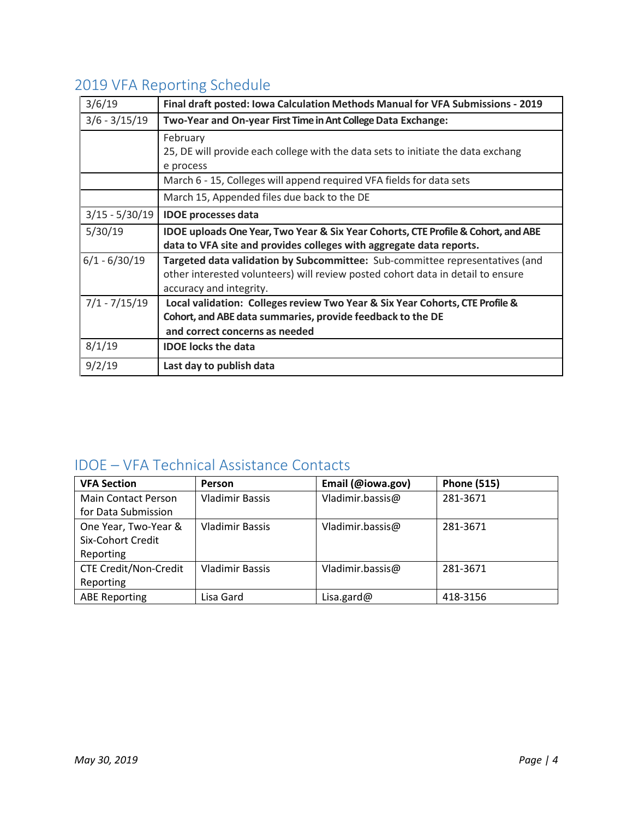# <span id="page-3-0"></span>2019 VFA Reporting Schedule

| 3/6/19           | Final draft posted: Iowa Calculation Methods Manual for VFA Submissions - 2019    |  |  |  |  |
|------------------|-----------------------------------------------------------------------------------|--|--|--|--|
| $3/6 - 3/15/19$  | Two-Year and On-year First Time in Ant College Data Exchange:                     |  |  |  |  |
|                  | February                                                                          |  |  |  |  |
|                  | 25, DE will provide each college with the data sets to initiate the data exchang  |  |  |  |  |
|                  | e process                                                                         |  |  |  |  |
|                  | March 6 - 15, Colleges will append required VFA fields for data sets              |  |  |  |  |
|                  | March 15, Appended files due back to the DE                                       |  |  |  |  |
| $3/15 - 5/30/19$ | <b>IDOE</b> processes data                                                        |  |  |  |  |
| 5/30/19          | IDOE uploads One Year, Two Year & Six Year Cohorts, CTE Profile & Cohort, and ABE |  |  |  |  |
|                  | data to VFA site and provides colleges with aggregate data reports.               |  |  |  |  |
| $6/1 - 6/30/19$  | Targeted data validation by Subcommittee: Sub-committee representatives (and      |  |  |  |  |
|                  | other interested volunteers) will review posted cohort data in detail to ensure   |  |  |  |  |
|                  | accuracy and integrity.                                                           |  |  |  |  |
| $7/1 - 7/15/19$  | Local validation: Colleges review Two Year & Six Year Cohorts, CTE Profile &      |  |  |  |  |
|                  | Cohort, and ABE data summaries, provide feedback to the DE                        |  |  |  |  |
|                  | and correct concerns as needed                                                    |  |  |  |  |
| 8/1/19           | <b>IDOE</b> locks the data                                                        |  |  |  |  |
| 9/2/19           | Last day to publish data                                                          |  |  |  |  |

# <span id="page-3-1"></span>IDOE – VFA Technical Assistance Contacts

| <b>VFA Section</b>           | <b>Person</b>          | Email (@iowa.gov) | <b>Phone (515)</b> |
|------------------------------|------------------------|-------------------|--------------------|
| <b>Main Contact Person</b>   | <b>Vladimir Bassis</b> | Vladimir.bassis@  | 281-3671           |
| for Data Submission          |                        |                   |                    |
| One Year, Two-Year &         | <b>Vladimir Bassis</b> | Vladimir.bassis@  | 281-3671           |
| Six-Cohort Credit            |                        |                   |                    |
| Reporting                    |                        |                   |                    |
| <b>CTE Credit/Non-Credit</b> | <b>Vladimir Bassis</b> | Vladimir.bassis@  | 281-3671           |
| Reporting                    |                        |                   |                    |
| <b>ABE Reporting</b>         | Lisa Gard              | Lisa.gard@        | 418-3156           |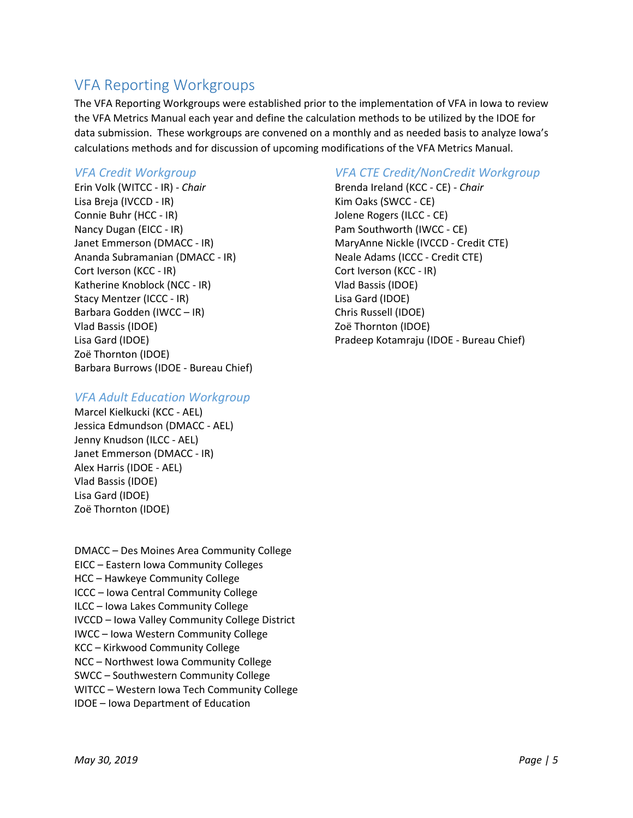# <span id="page-4-0"></span>VFA Reporting Workgroups

The VFA Reporting Workgroups were established prior to the implementation of VFA in Iowa to review the VFA Metrics Manual each year and define the calculation methods to be utilized by the IDOE for data submission. These workgroups are convened on a monthly and as needed basis to analyze Iowa's calculations methods and for discussion of upcoming modifications of the VFA Metrics Manual.

#### *VFA Credit Workgroup*

Erin Volk (WITCC - IR) - *Chair* Lisa Breja (IVCCD - IR) Connie Buhr (HCC - IR) Nancy Dugan (EICC - IR) Janet Emmerson (DMACC - IR) Ananda Subramanian (DMACC - IR) Cort Iverson (KCC - IR) Katherine Knoblock (NCC - IR) Stacy Mentzer (ICCC - IR) Barbara Godden (IWCC – IR) Vlad Bassis (IDOE) Lisa Gard (IDOE) Zoë Thornton (IDOE) Barbara Burrows (IDOE - Bureau Chief)

#### *VFA Adult Education Workgroup*

Marcel Kielkucki (KCC - AEL) Jessica Edmundson (DMACC - AEL) Jenny Knudson (ILCC - AEL) Janet Emmerson (DMACC - IR) Alex Harris (IDOE - AEL) Vlad Bassis (IDOE) Lisa Gard (IDOE) Zoë Thornton (IDOE)

DMACC – Des Moines Area Community College EICC – Eastern Iowa Community Colleges HCC – Hawkeye Community College ICCC – Iowa Central Community College ILCC – Iowa Lakes Community College IVCCD – Iowa Valley Community College District IWCC – Iowa Western Community College KCC – Kirkwood Community College NCC – Northwest Iowa Community College SWCC – Southwestern Community College WITCC – Western Iowa Tech Community College IDOE – Iowa Department of Education

### *VFA CTE Credit/NonCredit Workgroup*

Brenda Ireland (KCC - CE) - *Chair* Kim Oaks (SWCC - CE) Jolene Rogers (ILCC - CE) Pam Southworth (IWCC - CE) MaryAnne Nickle (IVCCD - Credit CTE) Neale Adams (ICCC - Credit CTE) Cort Iverson (KCC - IR) Vlad Bassis (IDOE) Lisa Gard (IDOE) Chris Russell (IDOE) Zoë Thornton (IDOE) Pradeep Kotamraju (IDOE - Bureau Chief)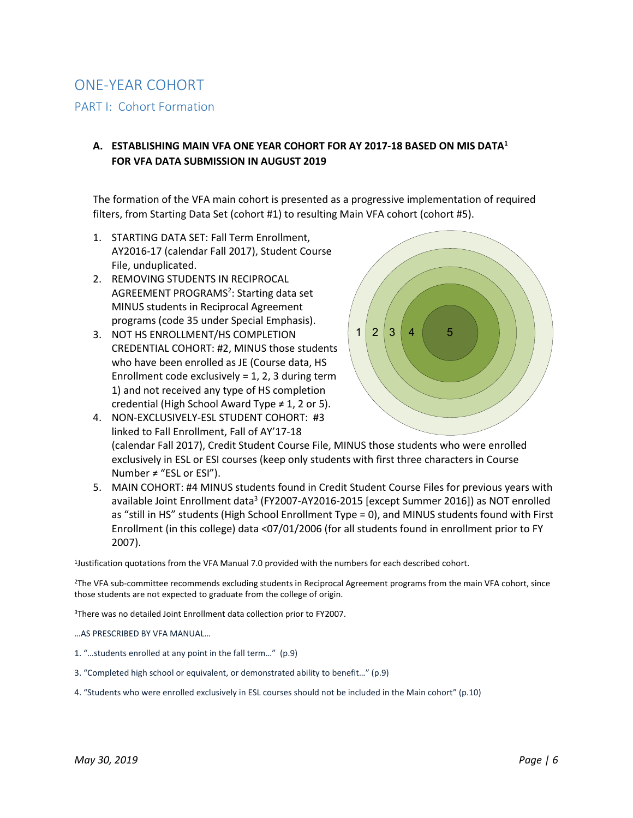# ONE-YEAR COHORT

PART I: Cohort Formation

#### **A. ESTABLISHING MAIN VFA ONE YEAR COHORT FOR AY 2017-18 BASED ON MIS DATA1 FOR VFA DATA SUBMISSION IN AUGUST 2019**

The formation of the VFA main cohort is presented as a progressive implementation of required filters, from Starting Data Set (cohort #1) to resulting Main VFA cohort (cohort #5).

- 1. STARTING DATA SET: Fall Term Enrollment, AY2016-17 (calendar Fall 2017), Student Course File, unduplicated.
- 2. REMOVING STUDENTS IN RECIPROCAL AGREEMENT PROGRAMS<sup>2</sup>: Starting data set MINUS students in Reciprocal Agreement programs (code 35 under Special Emphasis).
- 3. NOT HS ENROLLMENT/HS COMPLETION CREDENTIAL COHORT: #2, MINUS those students who have been enrolled as JE (Course data, HS Enrollment code exclusively  $= 1, 2, 3$  during term 1) and not received any type of HS completion credential (High School Award Type  $\neq$  1, 2 or 5). 4. NON-EXCLUSIVELY-ESL STUDENT COHORT: #3

linked to Fall Enrollment, Fall of AY'17-18



(calendar Fall 2017), Credit Student Course File, MINUS those students who were enrolled exclusively in ESL or ESI courses (keep only students with first three characters in Course Number  $\neq$  "ESL or ESI").

5. MAIN COHORT: #4 MINUS students found in Credit Student Course Files for previous years with available Joint Enrollment data<sup>3</sup> (FY2007-AY2016-2015 [except Summer 2016]) as NOT enrolled as "still in HS" students (High School Enrollment Type = 0), and MINUS students found with First Enrollment (in this college) data <07/01/2006 (for all students found in enrollment prior to FY 2007).

1Justification quotations from the VFA Manual 7.0 provided with the numbers for each described cohort.

2The VFA sub-committee recommends excluding students in Reciprocal Agreement programs from the main VFA cohort, since those students are not expected to graduate from the college of origin.

3There was no detailed Joint Enrollment data collection prior to FY2007.

- …AS PRESCRIBED BY VFA MANUAL…
- 1. "…students enrolled at any point in the fall term…" (p.9)
- 3. "Completed high school or equivalent, or demonstrated ability to benefit…" (p.9)
- 4. "Students who were enrolled exclusively in ESL courses should not be included in the Main cohort" (p.10)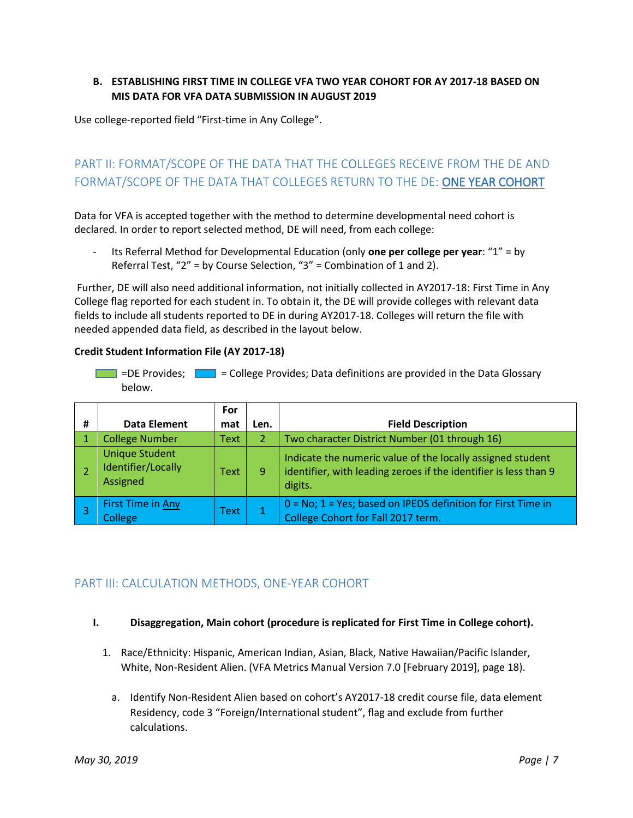#### **B. ESTABLISHING FIRST TIME IN COLLEGE VFA TWO YEAR COHORT FOR AY 2017-18 BASED ON MIS DATA FOR VFA DATA SUBMISSION IN AUGUST 2019**

<span id="page-6-0"></span>Use college-reported field "First-time in Any College".

### PART II: FORMAT/SCOPE OF THE DATA THAT THE COLLEGES RECEIVE FROM THE DE AND FORMAT/SCOPE OF THE DATA THAT COLLEGES RETURN TO THE DE: ONE YEAR COHORT

Data for VFA is accepted together with the method to determine developmental need cohort is declared. In order to report selected method, DE will need, from each college:

- Its Referral Method for Developmental Education (only **one per college per year**: "1" = by Referral Test, "2" = by Course Selection, "3" = Combination of 1 and 2).

Further, DE will also need additional information, not initially collected in AY2017-18: First Time in Any College flag reported for each student in. To obtain it, the DE will provide colleges with relevant data fields to include all students reported to DE in during AY2017-18. Colleges will return the file with needed appended data field, as described in the layout below.

#### **Credit Student Information File (AY 2017-18)**

 $\Box$  = DE Provides;  $\Box$  = College Provides; Data definitions are provided in the Data Glossary below.

|   |                                                         | For  |                |                                                                                                                                           |
|---|---------------------------------------------------------|------|----------------|-------------------------------------------------------------------------------------------------------------------------------------------|
| # | <b>Data Element</b>                                     | mat  | Len.           | <b>Field Description</b>                                                                                                                  |
|   | <b>College Number</b>                                   | Text | $\overline{2}$ | Two character District Number (01 through 16)                                                                                             |
|   | <b>Unique Student</b><br>Identifier/Locally<br>Assigned | Text | 9              | Indicate the numeric value of the locally assigned student<br>identifier, with leading zeroes if the identifier is less than 9<br>digits. |
|   | First Time in Any<br>College                            | Text |                | $0 = No$ ; 1 = Yes; based on IPEDS definition for First Time in<br>College Cohort for Fall 2017 term.                                     |

#### PART III: CALCULATION METHODS, ONE-YEAR COHORT

#### **I. Disaggregation, Main cohort (procedure is replicated for First Time in College cohort).**

- 1. Race/Ethnicity: Hispanic, American Indian, Asian, Black, Native Hawaiian/Pacific Islander, White, Non-Resident Alien. (VFA Metrics Manual Version 7.0 [February 2019], page 18).
	- a. Identify Non-Resident Alien based on cohort's AY2017-18 credit course file, data element Residency, code 3 "Foreign/International student", flag and exclude from further calculations.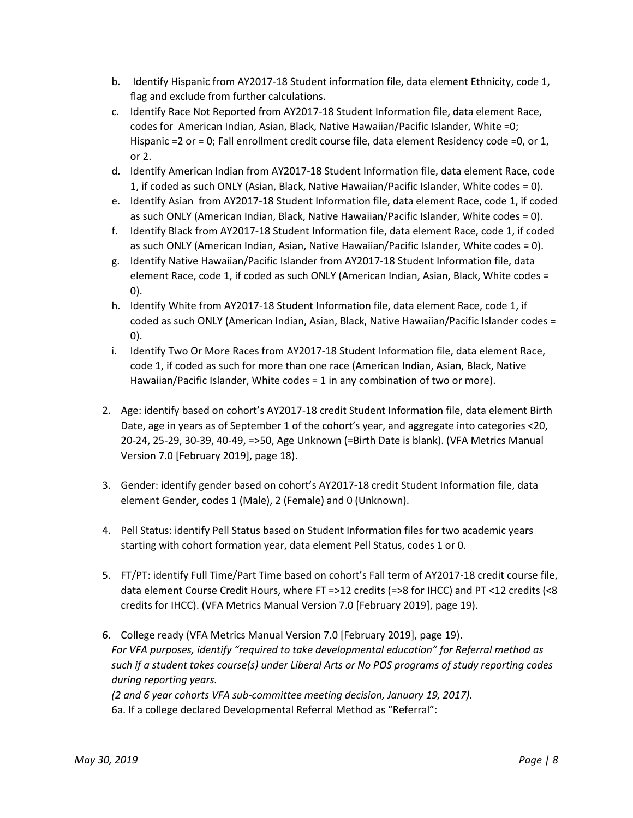- b. Identify Hispanic from AY2017-18 Student information file, data element Ethnicity, code 1, flag and exclude from further calculations.
- c. Identify Race Not Reported from AY2017-18 Student Information file, data element Race, codes for American Indian, Asian, Black, Native Hawaiian/Pacific Islander, White =0; Hispanic =2 or = 0; Fall enrollment credit course file, data element Residency code =0, or 1, or 2.
- d. Identify American Indian from AY2017-18 Student Information file, data element Race, code 1, if coded as such ONLY (Asian, Black, Native Hawaiian/Pacific Islander, White codes = 0).
- e. Identify Asian from AY2017-18 Student Information file, data element Race, code 1, if coded as such ONLY (American Indian, Black, Native Hawaiian/Pacific Islander, White codes = 0).
- f. Identify Black from AY2017-18 Student Information file, data element Race, code 1, if coded as such ONLY (American Indian, Asian, Native Hawaiian/Pacific Islander, White codes = 0).
- g. Identify Native Hawaiian/Pacific Islander from AY2017-18 Student Information file, data element Race, code 1, if coded as such ONLY (American Indian, Asian, Black, White codes = 0).
- h. Identify White from AY2017-18 Student Information file, data element Race, code 1, if coded as such ONLY (American Indian, Asian, Black, Native Hawaiian/Pacific Islander codes = 0).
- i. Identify Two Or More Races from AY2017-18 Student Information file, data element Race, code 1, if coded as such for more than one race (American Indian, Asian, Black, Native Hawaiian/Pacific Islander, White codes = 1 in any combination of two or more).
- 2. Age: identify based on cohort's AY2017-18 credit Student Information file, data element Birth Date, age in years as of September 1 of the cohort's year, and aggregate into categories <20, 20-24, 25-29, 30-39, 40-49, =>50, Age Unknown (=Birth Date is blank). (VFA Metrics Manual Version 7.0 [February 2019], page 18).
- 3. Gender: identify gender based on cohort's AY2017-18 credit Student Information file, data element Gender, codes 1 (Male), 2 (Female) and 0 (Unknown).
- 4. Pell Status: identify Pell Status based on Student Information files for two academic years starting with cohort formation year, data element Pell Status, codes 1 or 0.
- 5. FT/PT: identify Full Time/Part Time based on cohort's Fall term of AY2017-18 credit course file, data element Course Credit Hours, where FT =>12 credits (=>8 for IHCC) and PT <12 credits (<8 credits for IHCC). (VFA Metrics Manual Version 7.0 [February 2019], page 19).
- 6. College ready (VFA Metrics Manual Version 7.0 [February 2019], page 19). *For VFA purposes, identify "required to take developmental education" for Referral method as such if a student takes course(s) under Liberal Arts or No POS programs of study reporting codes during reporting years.*

*(2 and 6 year cohorts VFA sub-committee meeting decision, January 19, 2017).*  6a. If a college declared Developmental Referral Method as "Referral":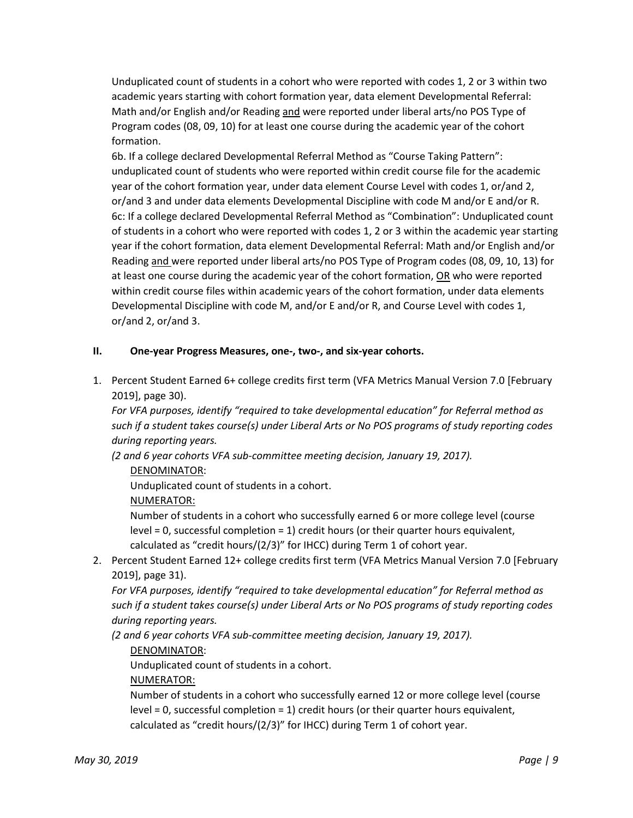Unduplicated count of students in a cohort who were reported with codes 1, 2 or 3 within two academic years starting with cohort formation year, data element Developmental Referral: Math and/or English and/or Reading and were reported under liberal arts/no POS Type of Program codes (08, 09, 10) for at least one course during the academic year of the cohort formation.

6b. If a college declared Developmental Referral Method as "Course Taking Pattern": unduplicated count of students who were reported within credit course file for the academic year of the cohort formation year, under data element Course Level with codes 1, or/and 2, or/and 3 and under data elements Developmental Discipline with code M and/or E and/or R. 6c: If a college declared Developmental Referral Method as "Combination": Unduplicated count of students in a cohort who were reported with codes 1, 2 or 3 within the academic year starting year if the cohort formation, data element Developmental Referral: Math and/or English and/or Reading and were reported under liberal arts/no POS Type of Program codes (08, 09, 10, 13) for at least one course during the academic year of the cohort formation, OR who were reported within credit course files within academic years of the cohort formation, under data elements Developmental Discipline with code M, and/or E and/or R, and Course Level with codes 1, or/and 2, or/and 3.

#### **II. One-year Progress Measures, one-, two-, and six-year cohorts.**

1. Percent Student Earned 6+ college credits first term (VFA Metrics Manual Version 7.0 [February 2019], page 30).

*For VFA purposes, identify "required to take developmental education" for Referral method as such if a student takes course(s) under Liberal Arts or No POS programs of study reporting codes during reporting years.*

*(2 and 6 year cohorts VFA sub-committee meeting decision, January 19, 2017).* 

DENOMINATOR:

Unduplicated count of students in a cohort.

NUMERATOR:

Number of students in a cohort who successfully earned 6 or more college level (course level = 0, successful completion = 1) credit hours (or their quarter hours equivalent, calculated as "credit hours/(2/3)" for IHCC) during Term 1 of cohort year.

2. Percent Student Earned 12+ college credits first term (VFA Metrics Manual Version 7.0 [February 2019], page 31).

*For VFA purposes, identify "required to take developmental education" for Referral method as such if a student takes course(s) under Liberal Arts or No POS programs of study reporting codes during reporting years.*

*(2 and 6 year cohorts VFA sub-committee meeting decision, January 19, 2017).* 

#### DENOMINATOR:

Unduplicated count of students in a cohort.

NUMERATOR:

Number of students in a cohort who successfully earned 12 or more college level (course level = 0, successful completion = 1) credit hours (or their quarter hours equivalent, calculated as "credit hours/(2/3)" for IHCC) during Term 1 of cohort year.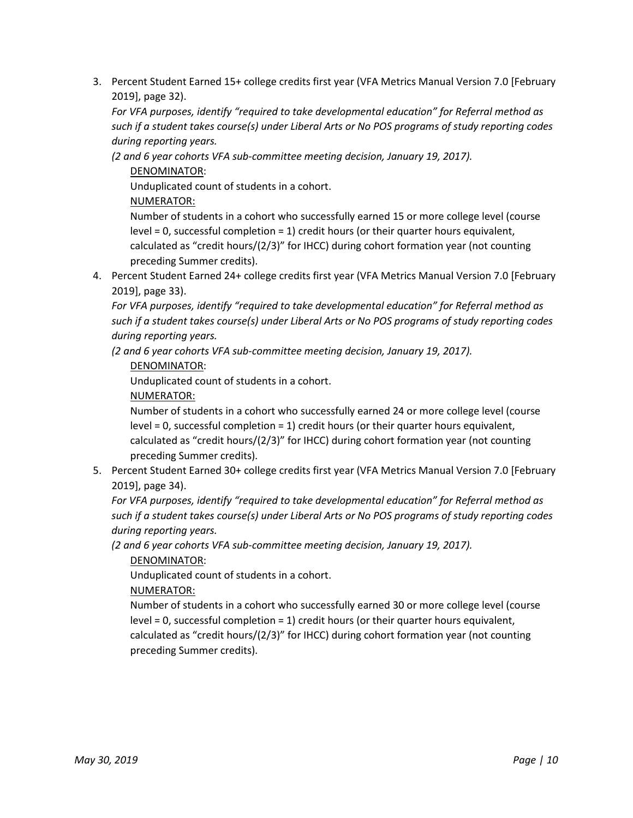3. Percent Student Earned 15+ college credits first year (VFA Metrics Manual Version 7.0 [February 2019], page 32).

*For VFA purposes, identify "required to take developmental education" for Referral method as such if a student takes course(s) under Liberal Arts or No POS programs of study reporting codes during reporting years.*

*(2 and 6 year cohorts VFA sub-committee meeting decision, January 19, 2017).* 

DENOMINATOR:

Unduplicated count of students in a cohort.

NUMERATOR:

Number of students in a cohort who successfully earned 15 or more college level (course level  $= 0$ , successful completion  $= 1$ ) credit hours (or their quarter hours equivalent, calculated as "credit hours/(2/3)" for IHCC) during cohort formation year (not counting preceding Summer credits).

4. Percent Student Earned 24+ college credits first year (VFA Metrics Manual Version 7.0 [February 2019], page 33).

*For VFA purposes, identify "required to take developmental education" for Referral method as such if a student takes course(s) under Liberal Arts or No POS programs of study reporting codes during reporting years.*

*(2 and 6 year cohorts VFA sub-committee meeting decision, January 19, 2017).* 

DENOMINATOR:

Unduplicated count of students in a cohort.

NUMERATOR:

Number of students in a cohort who successfully earned 24 or more college level (course level = 0, successful completion = 1) credit hours (or their quarter hours equivalent, calculated as "credit hours/(2/3)" for IHCC) during cohort formation year (not counting preceding Summer credits).

5. Percent Student Earned 30+ college credits first year (VFA Metrics Manual Version 7.0 [February 2019], page 34).

*For VFA purposes, identify "required to take developmental education" for Referral method as such if a student takes course(s) under Liberal Arts or No POS programs of study reporting codes during reporting years.*

*(2 and 6 year cohorts VFA sub-committee meeting decision, January 19, 2017).* 

DENOMINATOR:

Unduplicated count of students in a cohort.

NUMERATOR:

Number of students in a cohort who successfully earned 30 or more college level (course level = 0, successful completion = 1) credit hours (or their quarter hours equivalent, calculated as "credit hours/(2/3)" for IHCC) during cohort formation year (not counting preceding Summer credits).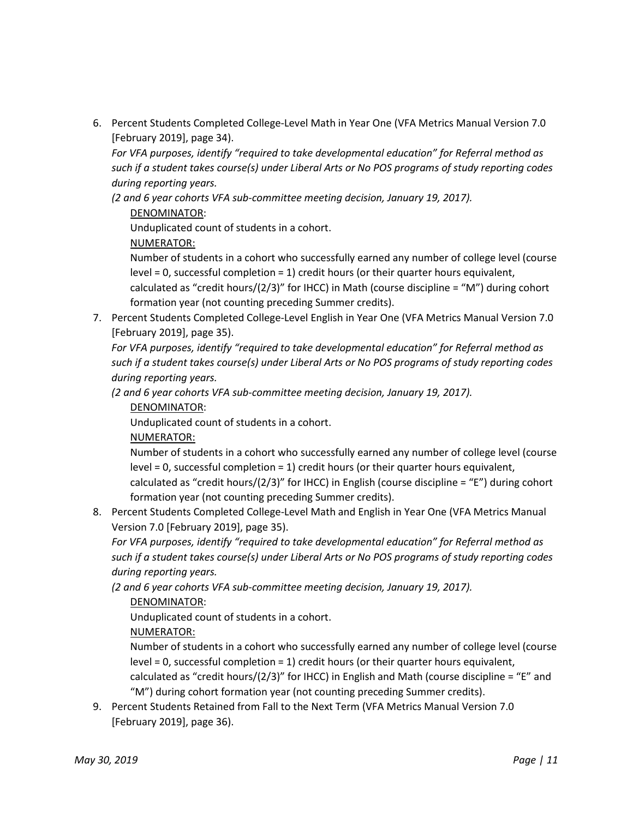6. Percent Students Completed College-Level Math in Year One (VFA Metrics Manual Version 7.0 [February 2019], page 34).

*For VFA purposes, identify "required to take developmental education" for Referral method as such if a student takes course(s) under Liberal Arts or No POS programs of study reporting codes during reporting years.*

*(2 and 6 year cohorts VFA sub-committee meeting decision, January 19, 2017).* 

DENOMINATOR:

Unduplicated count of students in a cohort.

NUMERATOR:

Number of students in a cohort who successfully earned any number of college level (course level = 0, successful completion = 1) credit hours (or their quarter hours equivalent, calculated as "credit hours/ $(2/3)$ " for IHCC) in Math (course discipline = "M") during cohort formation year (not counting preceding Summer credits).

7. Percent Students Completed College-Level English in Year One (VFA Metrics Manual Version 7.0 [February 2019], page 35).

*For VFA purposes, identify "required to take developmental education" for Referral method as such if a student takes course(s) under Liberal Arts or No POS programs of study reporting codes during reporting years.*

*(2 and 6 year cohorts VFA sub-committee meeting decision, January 19, 2017).* 

DENOMINATOR:

Unduplicated count of students in a cohort.

NUMERATOR:

Number of students in a cohort who successfully earned any number of college level (course level = 0, successful completion = 1) credit hours (or their quarter hours equivalent, calculated as "credit hours/(2/3)" for IHCC) in English (course discipline = "E") during cohort formation year (not counting preceding Summer credits).

8. Percent Students Completed College-Level Math and English in Year One (VFA Metrics Manual Version 7.0 [February 2019], page 35).

*For VFA purposes, identify "required to take developmental education" for Referral method as such if a student takes course(s) under Liberal Arts or No POS programs of study reporting codes during reporting years.*

*(2 and 6 year cohorts VFA sub-committee meeting decision, January 19, 2017).* 

DENOMINATOR:

Unduplicated count of students in a cohort.

NUMERATOR:

Number of students in a cohort who successfully earned any number of college level (course level = 0, successful completion = 1) credit hours (or their quarter hours equivalent,

calculated as "credit hours/(2/3)" for IHCC) in English and Math (course discipline = "E" and "M") during cohort formation year (not counting preceding Summer credits).

9. Percent Students Retained from Fall to the Next Term (VFA Metrics Manual Version 7.0 [February 2019], page 36).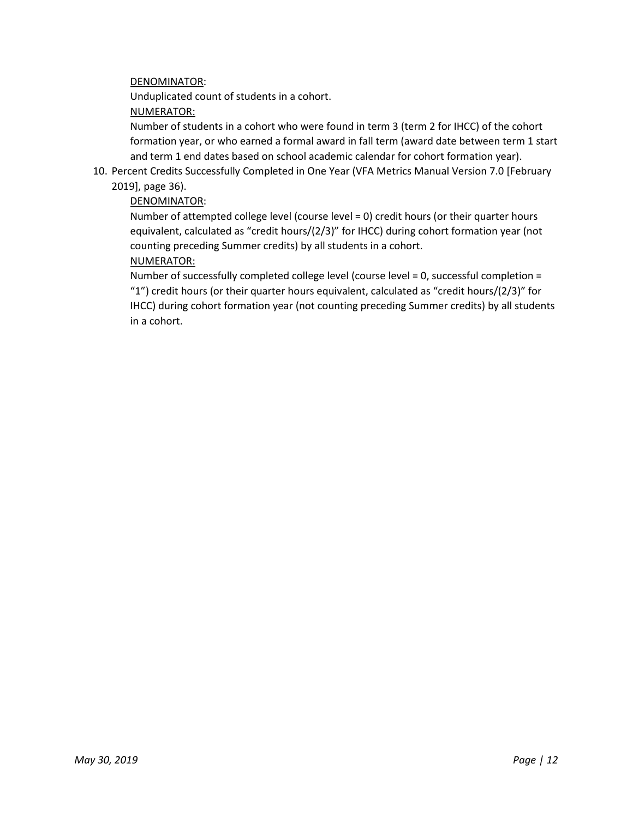#### DENOMINATOR:

Unduplicated count of students in a cohort.

#### NUMERATOR:

Number of students in a cohort who were found in term 3 (term 2 for IHCC) of the cohort formation year, or who earned a formal award in fall term (award date between term 1 start and term 1 end dates based on school academic calendar for cohort formation year).

10. Percent Credits Successfully Completed in One Year (VFA Metrics Manual Version 7.0 [February 2019], page 36).

#### DENOMINATOR:

Number of attempted college level (course level = 0) credit hours (or their quarter hours equivalent, calculated as "credit hours/(2/3)" for IHCC) during cohort formation year (not counting preceding Summer credits) by all students in a cohort.

#### NUMERATOR:

Number of successfully completed college level (course level = 0, successful completion = "1") credit hours (or their quarter hours equivalent, calculated as "credit hours/(2/3)" for IHCC) during cohort formation year (not counting preceding Summer credits) by all students in a cohort.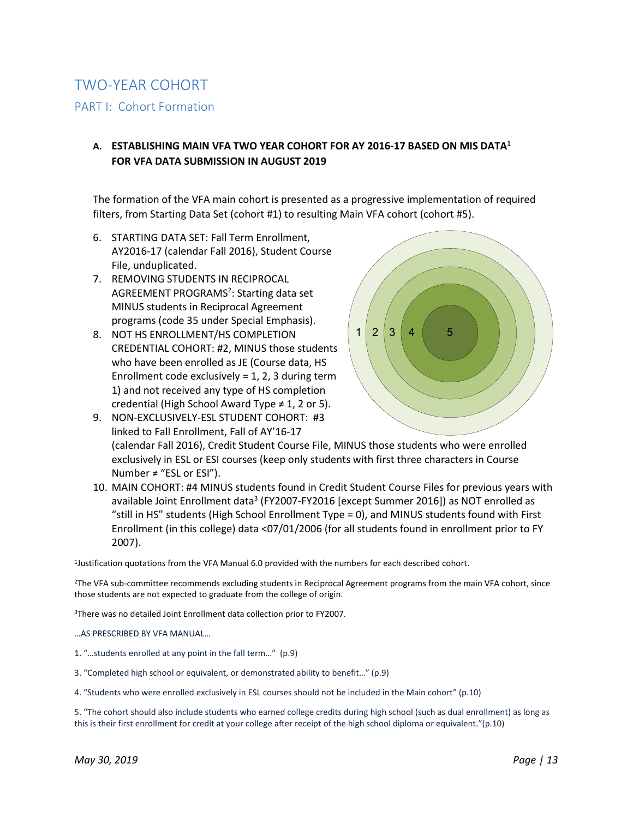# <span id="page-12-0"></span>TWO-YEAR COHORT

<span id="page-12-1"></span>PART I: Cohort Formation

#### **A. ESTABLISHING MAIN VFA TWO YEAR COHORT FOR AY 2016-17 BASED ON MIS DATA1 FOR VFA DATA SUBMISSION IN AUGUST 2019**

The formation of the VFA main cohort is presented as a progressive implementation of required filters, from Starting Data Set (cohort #1) to resulting Main VFA cohort (cohort #5).

- 6. STARTING DATA SET: Fall Term Enrollment, AY2016-17 (calendar Fall 2016), Student Course File, unduplicated.
- 7. REMOVING STUDENTS IN RECIPROCAL AGREEMENT PROGRAMS<sup>2</sup>: Starting data set MINUS students in Reciprocal Agreement programs (code 35 under Special Emphasis).
- 8. NOT HS ENROLLMENT/HS COMPLETION CREDENTIAL COHORT: #2, MINUS those students who have been enrolled as JE (Course data, HS Enrollment code exclusively  $= 1, 2, 3$  during term 1) and not received any type of HS completion credential (High School Award Type  $\neq$  1, 2 or 5).

9. NON-EXCLUSIVELY-ESL STUDENT COHORT: #3 linked to Fall Enrollment, Fall of AY'16-17



(calendar Fall 2016), Credit Student Course File, MINUS those students who were enrolled exclusively in ESL or ESI courses (keep only students with first three characters in Course Number ≠ "ESL or ESI").

10. MAIN COHORT: #4 MINUS students found in Credit Student Course Files for previous years with available Joint Enrollment data<sup>3</sup> (FY2007-FY2016 [except Summer 2016]) as NOT enrolled as "still in HS" students (High School Enrollment Type = 0), and MINUS students found with First Enrollment (in this college) data <07/01/2006 (for all students found in enrollment prior to FY 2007).

1Justification quotations from the VFA Manual 6.0 provided with the numbers for each described cohort.

2The VFA sub-committee recommends excluding students in Reciprocal Agreement programs from the main VFA cohort, since those students are not expected to graduate from the college of origin.

3There was no detailed Joint Enrollment data collection prior to FY2007.

…AS PRESCRIBED BY VFA MANUAL…

- 1. "…students enrolled at any point in the fall term…" (p.9)
- 3. "Completed high school or equivalent, or demonstrated ability to benefit…" (p.9)

4. "Students who were enrolled exclusively in ESL courses should not be included in the Main cohort" (p.10)

5. "The cohort should also include students who earned college credits during high school (such as dual enrollment) as long as this is their first enrollment for credit at your college after receipt of the high school diploma or equivalent."(p.10)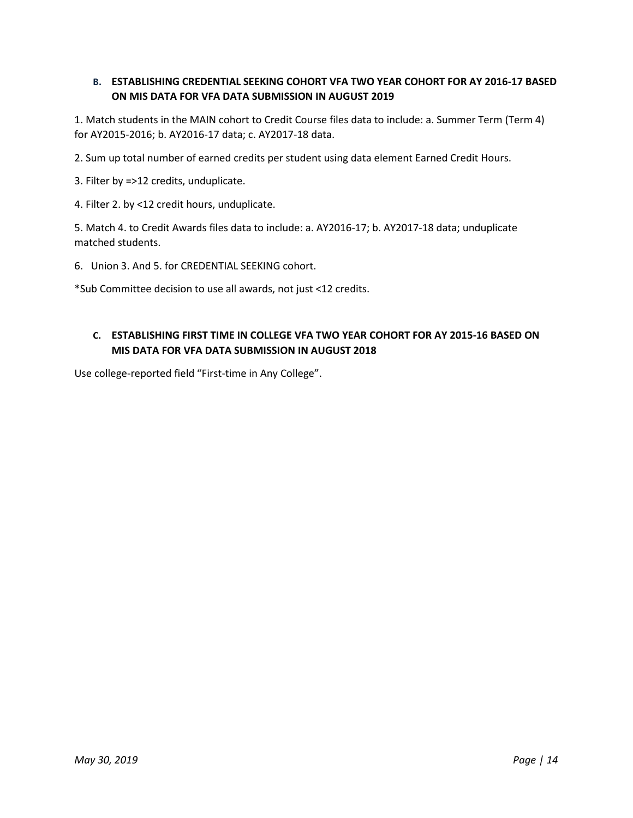#### **B. ESTABLISHING CREDENTIAL SEEKING COHORT VFA TWO YEAR COHORT FOR AY 2016-17 BASED ON MIS DATA FOR VFA DATA SUBMISSION IN AUGUST 2019**

1. Match students in the MAIN cohort to Credit Course files data to include: a. Summer Term (Term 4) for AY2015-2016; b. AY2016-17 data; c. AY2017-18 data.

2. Sum up total number of earned credits per student using data element Earned Credit Hours.

- 3. Filter by =>12 credits, unduplicate.
- 4. Filter 2. by <12 credit hours, unduplicate.

5. Match 4. to Credit Awards files data to include: a. AY2016-17; b. AY2017-18 data; unduplicate matched students.

6. Union 3. And 5. for CREDENTIAL SEEKING cohort.

\*Sub Committee decision to use all awards, not just <12 credits.

#### **C. ESTABLISHING FIRST TIME IN COLLEGE VFA TWO YEAR COHORT FOR AY 2015-16 BASED ON MIS DATA FOR VFA DATA SUBMISSION IN AUGUST 2018**

Use college-reported field "First-time in Any College".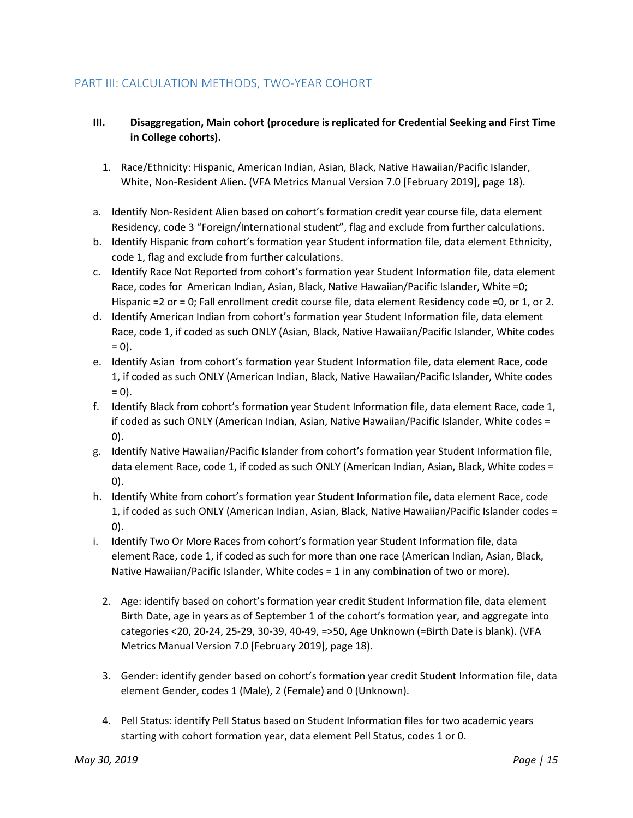### <span id="page-14-0"></span>PART III: CALCULATION METHODS, TWO-YEAR COHORT

#### **III. Disaggregation, Main cohort (procedure is replicated for Credential Seeking and First Time in College cohorts).**

- 1. Race/Ethnicity: Hispanic, American Indian, Asian, Black, Native Hawaiian/Pacific Islander, White, Non-Resident Alien. (VFA Metrics Manual Version 7.0 [February 2019], page 18).
- a. Identify Non-Resident Alien based on cohort's formation credit year course file, data element Residency, code 3 "Foreign/International student", flag and exclude from further calculations.
- b. Identify Hispanic from cohort's formation year Student information file, data element Ethnicity, code 1, flag and exclude from further calculations.
- c. Identify Race Not Reported from cohort's formation year Student Information file, data element Race, codes for American Indian, Asian, Black, Native Hawaiian/Pacific Islander, White =0; Hispanic =2 or = 0; Fall enrollment credit course file, data element Residency code =0, or 1, or 2.
- d. Identify American Indian from cohort's formation year Student Information file, data element Race, code 1, if coded as such ONLY (Asian, Black, Native Hawaiian/Pacific Islander, White codes  $= 0$ ).
- e. Identify Asian from cohort's formation year Student Information file, data element Race, code 1, if coded as such ONLY (American Indian, Black, Native Hawaiian/Pacific Islander, White codes  $= 0$ ).
- f. Identify Black from cohort's formation year Student Information file, data element Race, code 1, if coded as such ONLY (American Indian, Asian, Native Hawaiian/Pacific Islander, White codes = 0).
- g. Identify Native Hawaiian/Pacific Islander from cohort's formation year Student Information file, data element Race, code 1, if coded as such ONLY (American Indian, Asian, Black, White codes = 0).
- h. Identify White from cohort's formation year Student Information file, data element Race, code 1, if coded as such ONLY (American Indian, Asian, Black, Native Hawaiian/Pacific Islander codes = 0).
- i. Identify Two Or More Races from cohort's formation year Student Information file, data element Race, code 1, if coded as such for more than one race (American Indian, Asian, Black, Native Hawaiian/Pacific Islander, White codes = 1 in any combination of two or more).
	- 2. Age: identify based on cohort's formation year credit Student Information file, data element Birth Date, age in years as of September 1 of the cohort's formation year, and aggregate into categories <20, 20-24, 25-29, 30-39, 40-49, =>50, Age Unknown (=Birth Date is blank). (VFA Metrics Manual Version 7.0 [February 2019], page 18).
	- 3. Gender: identify gender based on cohort's formation year credit Student Information file, data element Gender, codes 1 (Male), 2 (Female) and 0 (Unknown).
	- 4. Pell Status: identify Pell Status based on Student Information files for two academic years starting with cohort formation year, data element Pell Status, codes 1 or 0.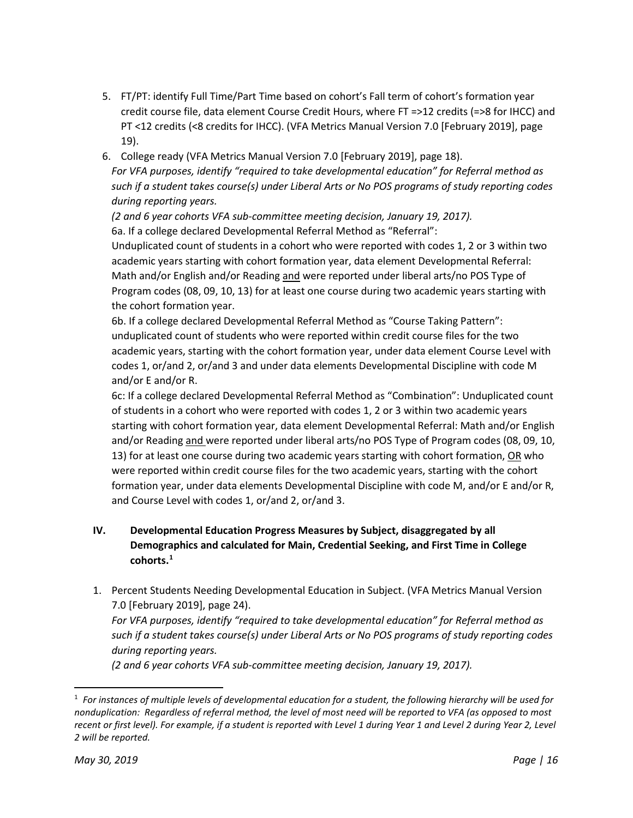- 5. FT/PT: identify Full Time/Part Time based on cohort's Fall term of cohort's formation year credit course file, data element Course Credit Hours, where FT =>12 credits (=>8 for IHCC) and PT <12 credits (<8 credits for IHCC). (VFA Metrics Manual Version 7.0 [February 2019], page 19).
- 6. College ready (VFA Metrics Manual Version 7.0 [February 2019], page 18).

*For VFA purposes, identify "required to take developmental education" for Referral method as such if a student takes course(s) under Liberal Arts or No POS programs of study reporting codes during reporting years.*

*(2 and 6 year cohorts VFA sub-committee meeting decision, January 19, 2017).*  6a. If a college declared Developmental Referral Method as "Referral":

Unduplicated count of students in a cohort who were reported with codes 1, 2 or 3 within two academic years starting with cohort formation year, data element Developmental Referral: Math and/or English and/or Reading and were reported under liberal arts/no POS Type of Program codes (08, 09, 10, 13) for at least one course during two academic years starting with the cohort formation year.

6b. If a college declared Developmental Referral Method as "Course Taking Pattern": unduplicated count of students who were reported within credit course files for the two academic years, starting with the cohort formation year, under data element Course Level with codes 1, or/and 2, or/and 3 and under data elements Developmental Discipline with code M and/or E and/or R.

6c: If a college declared Developmental Referral Method as "Combination": Unduplicated count of students in a cohort who were reported with codes 1, 2 or 3 within two academic years starting with cohort formation year, data element Developmental Referral: Math and/or English and/or Reading and were reported under liberal arts/no POS Type of Program codes (08, 09, 10, 13) for at least one course during two academic years starting with cohort formation, OR who were reported within credit course files for the two academic years, starting with the cohort formation year, under data elements Developmental Discipline with code M, and/or E and/or R, and Course Level with codes 1, or/and 2, or/and 3.

#### **IV. Developmental Education Progress Measures by Subject, disaggregated by all Demographics and calculated for Main, Credential Seeking, and First Time in College cohorts.[1](#page-15-0)**

1. Percent Students Needing Developmental Education in Subject. (VFA Metrics Manual Version 7.0 [February 2019], page 24).

*For VFA purposes, identify "required to take developmental education" for Referral method as such if a student takes course(s) under Liberal Arts or No POS programs of study reporting codes during reporting years.*

*(2 and 6 year cohorts VFA sub-committee meeting decision, January 19, 2017).* 

<span id="page-15-0"></span> <sup>1</sup> *For instances of multiple levels of developmental education for a student, the following hierarchy will be used for nonduplication: Regardless of referral method, the level of most need will be reported to VFA (as opposed to most recent or first level). For example, if a student is reported with Level 1 during Year 1 and Level 2 during Year 2, Level 2 will be reported.*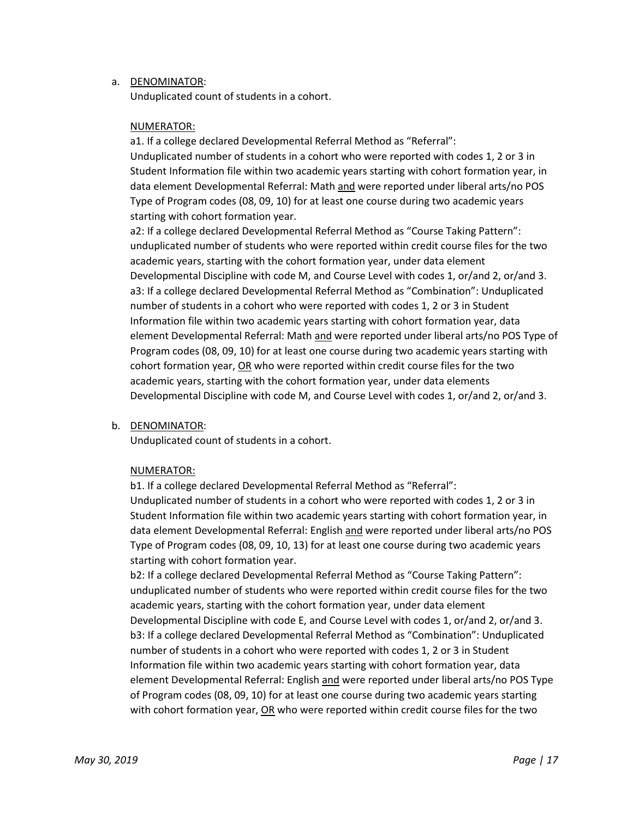#### a. DENOMINATOR:

Unduplicated count of students in a cohort.

#### NUMERATOR:

a1. If a college declared Developmental Referral Method as "Referral": Unduplicated number of students in a cohort who were reported with codes 1, 2 or 3 in Student Information file within two academic years starting with cohort formation year, in data element Developmental Referral: Math and were reported under liberal arts/no POS Type of Program codes (08, 09, 10) for at least one course during two academic years starting with cohort formation year.

a2: If a college declared Developmental Referral Method as "Course Taking Pattern": unduplicated number of students who were reported within credit course files for the two academic years, starting with the cohort formation year, under data element Developmental Discipline with code M, and Course Level with codes 1, or/and 2, or/and 3. a3: If a college declared Developmental Referral Method as "Combination": Unduplicated number of students in a cohort who were reported with codes 1, 2 or 3 in Student Information file within two academic years starting with cohort formation year, data element Developmental Referral: Math and were reported under liberal arts/no POS Type of Program codes (08, 09, 10) for at least one course during two academic years starting with cohort formation year, OR who were reported within credit course files for the two academic years, starting with the cohort formation year, under data elements Developmental Discipline with code M, and Course Level with codes 1, or/and 2, or/and 3.

#### b. DENOMINATOR:

Unduplicated count of students in a cohort.

#### NUMERATOR:

b1. If a college declared Developmental Referral Method as "Referral": Unduplicated number of students in a cohort who were reported with codes 1, 2 or 3 in Student Information file within two academic years starting with cohort formation year, in data element Developmental Referral: English and were reported under liberal arts/no POS Type of Program codes (08, 09, 10, 13) for at least one course during two academic years starting with cohort formation year.

b2: If a college declared Developmental Referral Method as "Course Taking Pattern": unduplicated number of students who were reported within credit course files for the two academic years, starting with the cohort formation year, under data element Developmental Discipline with code E, and Course Level with codes 1, or/and 2, or/and 3. b3: If a college declared Developmental Referral Method as "Combination": Unduplicated number of students in a cohort who were reported with codes 1, 2 or 3 in Student Information file within two academic years starting with cohort formation year, data element Developmental Referral: English and were reported under liberal arts/no POS Type of Program codes (08, 09, 10) for at least one course during two academic years starting with cohort formation year, OR who were reported within credit course files for the two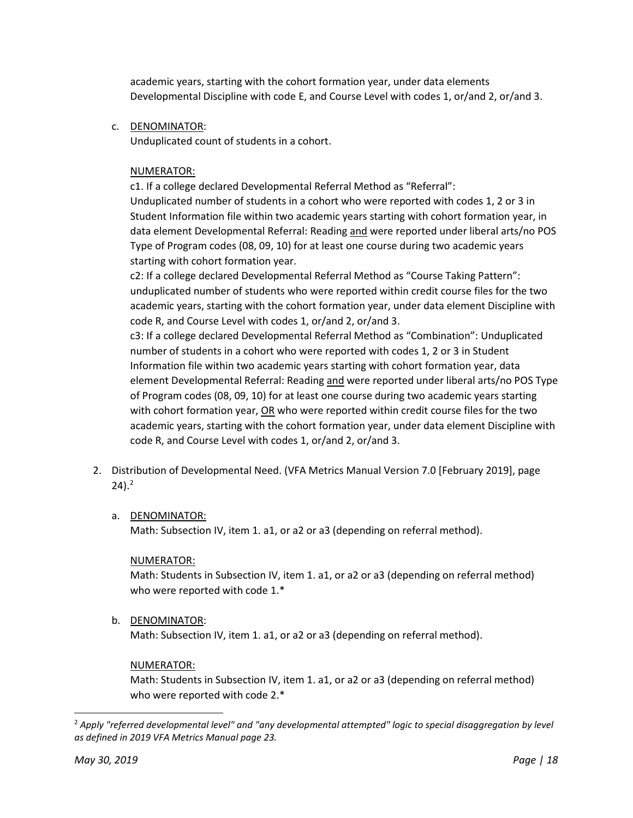academic years, starting with the cohort formation year, under data elements Developmental Discipline with code E, and Course Level with codes 1, or/and 2, or/and 3.

c. DENOMINATOR:

Unduplicated count of students in a cohort.

#### NUMERATOR:

c1. If a college declared Developmental Referral Method as "Referral": Unduplicated number of students in a cohort who were reported with codes 1, 2 or 3 in Student Information file within two academic years starting with cohort formation year, in data element Developmental Referral: Reading and were reported under liberal arts/no POS Type of Program codes (08, 09, 10) for at least one course during two academic years starting with cohort formation year.

c2: If a college declared Developmental Referral Method as "Course Taking Pattern": unduplicated number of students who were reported within credit course files for the two academic years, starting with the cohort formation year, under data element Discipline with code R, and Course Level with codes 1, or/and 2, or/and 3.

c3: If a college declared Developmental Referral Method as "Combination": Unduplicated number of students in a cohort who were reported with codes 1, 2 or 3 in Student Information file within two academic years starting with cohort formation year, data element Developmental Referral: Reading and were reported under liberal arts/no POS Type of Program codes (08, 09, 10) for at least one course during two academic years starting with cohort formation year, OR who were reported within credit course files for the two academic years, starting with the cohort formation year, under data element Discipline with code R, and Course Level with codes 1, or/and 2, or/and 3.

- 2. Distribution of Developmental Need. (VFA Metrics Manual Version 7.0 [February 2019], page  $24)$  $24)$ .<sup>2</sup>
	- a. DENOMINATOR:

Math: Subsection IV, item 1. a1, or a2 or a3 (depending on referral method).

#### NUMERATOR:

Math: Students in Subsection IV, item 1. a1, or a2 or a3 (depending on referral method) who were reported with code 1.\*

b. DENOMINATOR:

Math: Subsection IV, item 1. a1, or a2 or a3 (depending on referral method).

#### NUMERATOR:

Math: Students in Subsection IV, item 1. a1, or a2 or a3 (depending on referral method) who were reported with code 2.\*

<span id="page-17-0"></span> <sup>2</sup> *Apply "referred developmental level" and "any developmental attempted" logic to special disaggregation by level as defined in 2019 VFA Metrics Manual page 23.*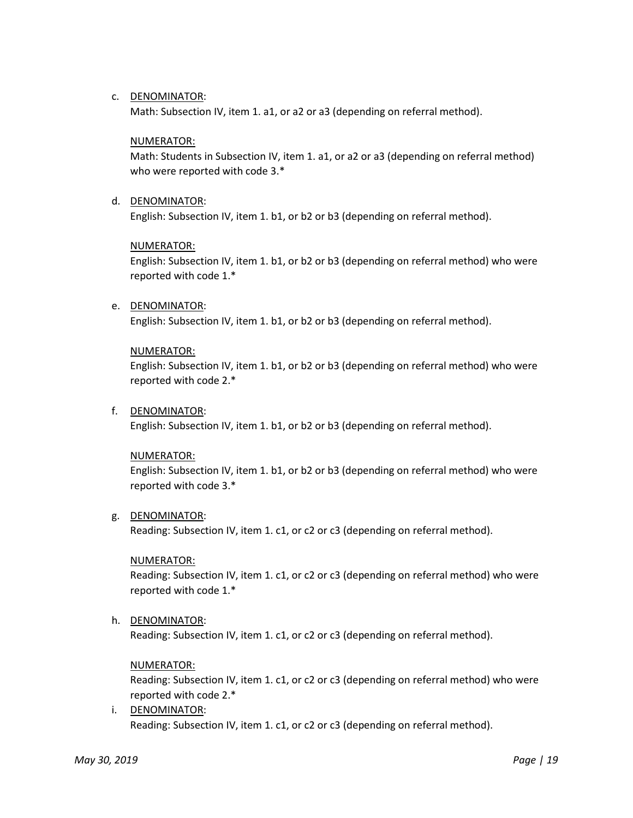#### c. DENOMINATOR:

Math: Subsection IV, item 1. a1, or a2 or a3 (depending on referral method).

#### NUMERATOR:

Math: Students in Subsection IV, item 1. a1, or a2 or a3 (depending on referral method) who were reported with code 3.\*

d. DENOMINATOR: English: Subsection IV, item 1. b1, or b2 or b3 (depending on referral method).

#### NUMERATOR:

English: Subsection IV, item 1. b1, or b2 or b3 (depending on referral method) who were reported with code 1.\*

e. DENOMINATOR: English: Subsection IV, item 1. b1, or b2 or b3 (depending on referral method).

#### NUMERATOR:

English: Subsection IV, item 1. b1, or b2 or b3 (depending on referral method) who were reported with code 2.\*

f. DENOMINATOR: English: Subsection IV, item 1. b1, or b2 or b3 (depending on referral method).

#### NUMERATOR:

English: Subsection IV, item 1. b1, or b2 or b3 (depending on referral method) who were reported with code 3.\*

g. DENOMINATOR:

Reading: Subsection IV, item 1. c1, or c2 or c3 (depending on referral method).

#### NUMERATOR:

Reading: Subsection IV, item 1. c1, or c2 or c3 (depending on referral method) who were reported with code 1.\*

h. DENOMINATOR:

Reading: Subsection IV, item 1. c1, or c2 or c3 (depending on referral method).

#### NUMERATOR:

Reading: Subsection IV, item 1. c1, or c2 or c3 (depending on referral method) who were reported with code 2.\*

i. DENOMINATOR: Reading: Subsection IV, item 1. c1, or c2 or c3 (depending on referral method).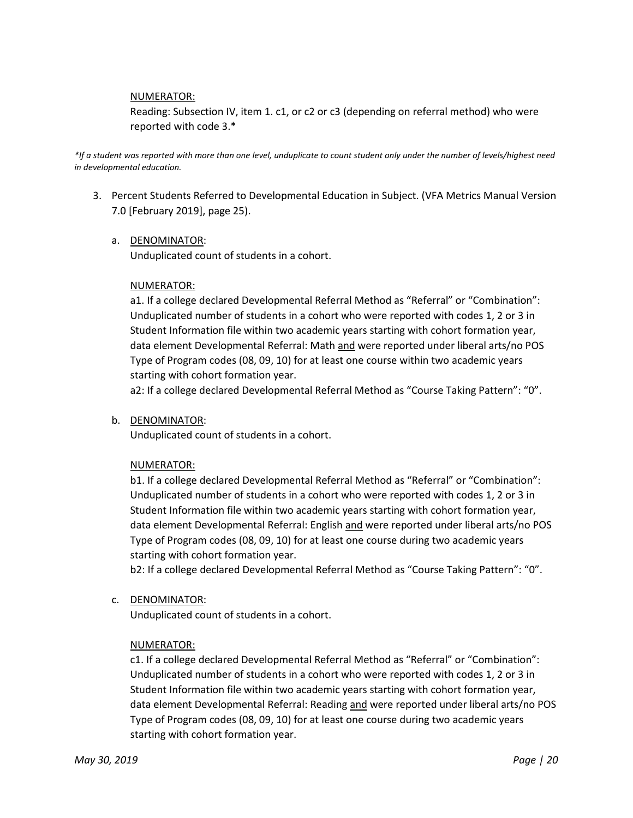#### NUMERATOR:

Reading: Subsection IV, item 1. c1, or c2 or c3 (depending on referral method) who were reported with code 3.\*

*\*If a student was reported with more than one level, unduplicate to count student only under the number of levels/highest need in developmental education.* 

3. Percent Students Referred to Developmental Education in Subject. (VFA Metrics Manual Version 7.0 [February 2019], page 25).

#### a. DENOMINATOR:

Unduplicated count of students in a cohort.

#### NUMERATOR:

a1. If a college declared Developmental Referral Method as "Referral" or "Combination": Unduplicated number of students in a cohort who were reported with codes 1, 2 or 3 in Student Information file within two academic years starting with cohort formation year, data element Developmental Referral: Math and were reported under liberal arts/no POS Type of Program codes (08, 09, 10) for at least one course within two academic years starting with cohort formation year.

a2: If a college declared Developmental Referral Method as "Course Taking Pattern": "0".

b. DENOMINATOR:

Unduplicated count of students in a cohort.

#### NUMERATOR:

b1. If a college declared Developmental Referral Method as "Referral" or "Combination": Unduplicated number of students in a cohort who were reported with codes 1, 2 or 3 in Student Information file within two academic years starting with cohort formation year, data element Developmental Referral: English and were reported under liberal arts/no POS Type of Program codes (08, 09, 10) for at least one course during two academic years starting with cohort formation year.

b2: If a college declared Developmental Referral Method as "Course Taking Pattern": "0".

c. DENOMINATOR:

Unduplicated count of students in a cohort.

#### NUMERATOR:

c1. If a college declared Developmental Referral Method as "Referral" or "Combination": Unduplicated number of students in a cohort who were reported with codes 1, 2 or 3 in Student Information file within two academic years starting with cohort formation year, data element Developmental Referral: Reading and were reported under liberal arts/no POS Type of Program codes (08, 09, 10) for at least one course during two academic years starting with cohort formation year.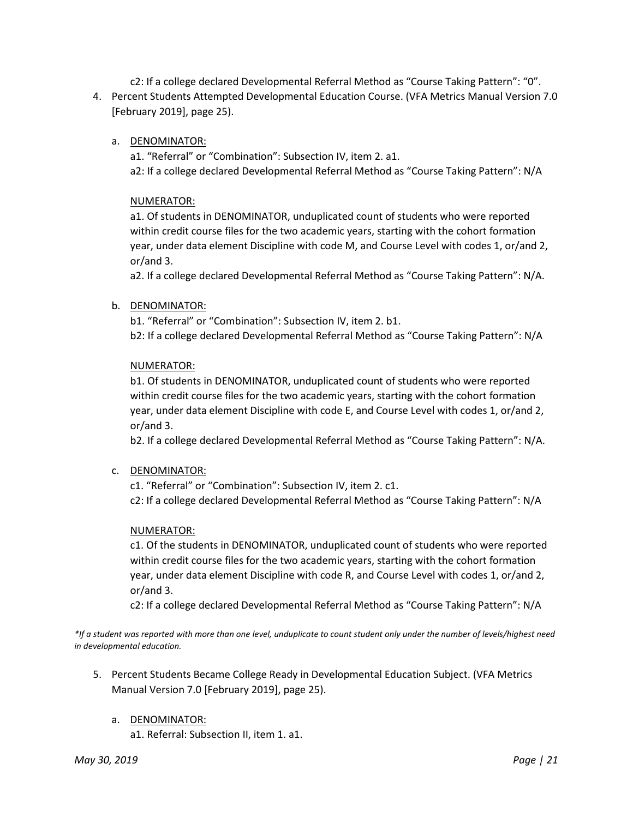c2: If a college declared Developmental Referral Method as "Course Taking Pattern": "0".

4. Percent Students Attempted Developmental Education Course. (VFA Metrics Manual Version 7.0 [February 2019], page 25).

#### a. DENOMINATOR:

a1. "Referral" or "Combination": Subsection IV, item 2. a1. a2: If a college declared Developmental Referral Method as "Course Taking Pattern": N/A

#### NUMERATOR:

a1. Of students in DENOMINATOR, unduplicated count of students who were reported within credit course files for the two academic years, starting with the cohort formation year, under data element Discipline with code M, and Course Level with codes 1, or/and 2, or/and 3.

a2. If a college declared Developmental Referral Method as "Course Taking Pattern": N/A.

#### b. DENOMINATOR:

b1. "Referral" or "Combination": Subsection IV, item 2. b1. b2: If a college declared Developmental Referral Method as "Course Taking Pattern": N/A

#### NUMERATOR:

b1. Of students in DENOMINATOR, unduplicated count of students who were reported within credit course files for the two academic years, starting with the cohort formation year, under data element Discipline with code E, and Course Level with codes 1, or/and 2, or/and 3.

b2. If a college declared Developmental Referral Method as "Course Taking Pattern": N/A.

#### c. DENOMINATOR:

c1. "Referral" or "Combination": Subsection IV, item 2. c1. c2: If a college declared Developmental Referral Method as "Course Taking Pattern": N/A

#### NUMERATOR:

c1. Of the students in DENOMINATOR, unduplicated count of students who were reported within credit course files for the two academic years, starting with the cohort formation year, under data element Discipline with code R, and Course Level with codes 1, or/and 2, or/and 3.

c2: If a college declared Developmental Referral Method as "Course Taking Pattern": N/A

*\*If a student was reported with more than one level, unduplicate to count student only under the number of levels/highest need in developmental education.* 

- 5. Percent Students Became College Ready in Developmental Education Subject. (VFA Metrics Manual Version 7.0 [February 2019], page 25).
	- a. DENOMINATOR:

a1. Referral: Subsection II, item 1. a1.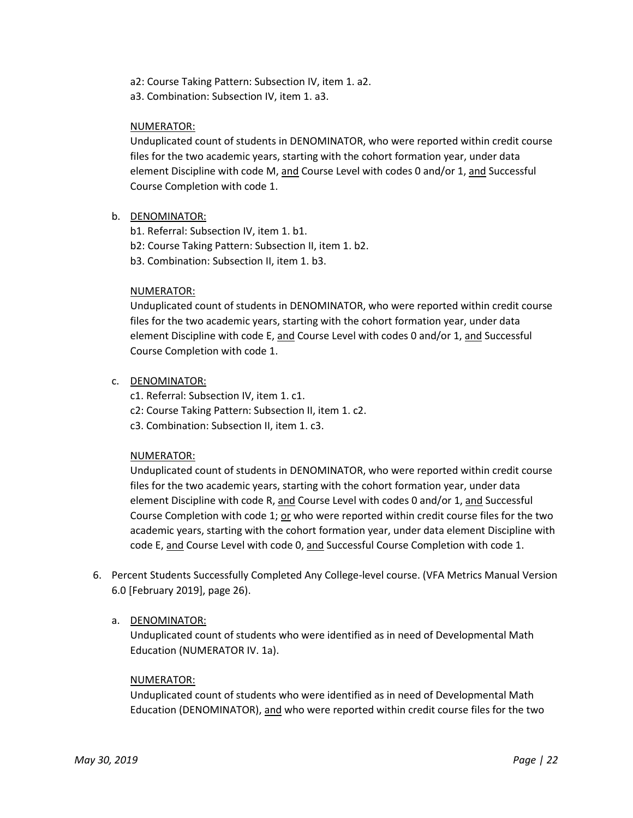- a2: Course Taking Pattern: Subsection IV, item 1. a2.
- a3. Combination: Subsection IV, item 1. a3.

#### NUMERATOR:

Unduplicated count of students in DENOMINATOR, who were reported within credit course files for the two academic years, starting with the cohort formation year, under data element Discipline with code M, and Course Level with codes 0 and/or 1, and Successful Course Completion with code 1.

- b. DENOMINATOR:
	- b1. Referral: Subsection IV, item 1. b1.
	- b2: Course Taking Pattern: Subsection II, item 1. b2.
	- b3. Combination: Subsection II, item 1. b3.

#### NUMERATOR:

Unduplicated count of students in DENOMINATOR, who were reported within credit course files for the two academic years, starting with the cohort formation year, under data element Discipline with code E, and Course Level with codes 0 and/or 1, and Successful Course Completion with code 1.

#### c. DENOMINATOR:

- c1. Referral: Subsection IV, item 1. c1.
- c2: Course Taking Pattern: Subsection II, item 1. c2.
- c3. Combination: Subsection II, item 1. c3.

#### NUMERATOR:

Unduplicated count of students in DENOMINATOR, who were reported within credit course files for the two academic years, starting with the cohort formation year, under data element Discipline with code R, and Course Level with codes 0 and/or 1, and Successful Course Completion with code 1; or who were reported within credit course files for the two academic years, starting with the cohort formation year, under data element Discipline with code E, and Course Level with code 0, and Successful Course Completion with code 1.

- 6. Percent Students Successfully Completed Any College-level course. (VFA Metrics Manual Version 6.0 [February 2019], page 26).
	- a. DENOMINATOR:

Unduplicated count of students who were identified as in need of Developmental Math Education (NUMERATOR IV. 1a).

#### NUMERATOR:

Unduplicated count of students who were identified as in need of Developmental Math Education (DENOMINATOR), and who were reported within credit course files for the two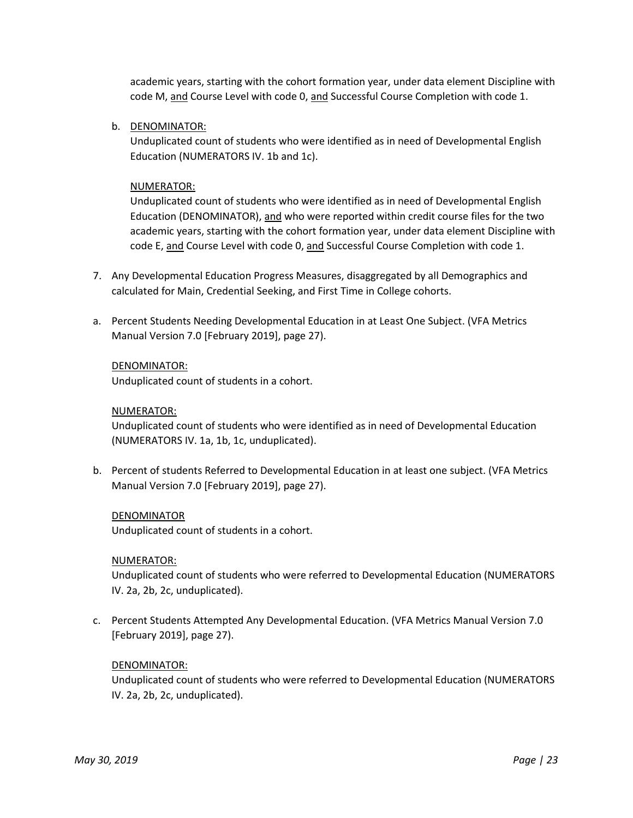academic years, starting with the cohort formation year, under data element Discipline with code M, and Course Level with code 0, and Successful Course Completion with code 1.

b. DENOMINATOR:

Unduplicated count of students who were identified as in need of Developmental English Education (NUMERATORS IV. 1b and 1c).

#### NUMERATOR:

Unduplicated count of students who were identified as in need of Developmental English Education (DENOMINATOR), and who were reported within credit course files for the two academic years, starting with the cohort formation year, under data element Discipline with code E, and Course Level with code 0, and Successful Course Completion with code 1.

- 7. Any Developmental Education Progress Measures, disaggregated by all Demographics and calculated for Main, Credential Seeking, and First Time in College cohorts.
- a. Percent Students Needing Developmental Education in at Least One Subject. (VFA Metrics Manual Version 7.0 [February 2019], page 27).

#### DENOMINATOR:

Unduplicated count of students in a cohort.

#### NUMERATOR:

Unduplicated count of students who were identified as in need of Developmental Education (NUMERATORS IV. 1a, 1b, 1c, unduplicated).

b. Percent of students Referred to Developmental Education in at least one subject. (VFA Metrics Manual Version 7.0 [February 2019], page 27).

#### DENOMINATOR

Unduplicated count of students in a cohort.

#### NUMERATOR:

Unduplicated count of students who were referred to Developmental Education (NUMERATORS IV. 2a, 2b, 2c, unduplicated).

c. Percent Students Attempted Any Developmental Education. (VFA Metrics Manual Version 7.0 [February 2019], page 27).

#### DENOMINATOR:

Unduplicated count of students who were referred to Developmental Education (NUMERATORS IV. 2a, 2b, 2c, unduplicated).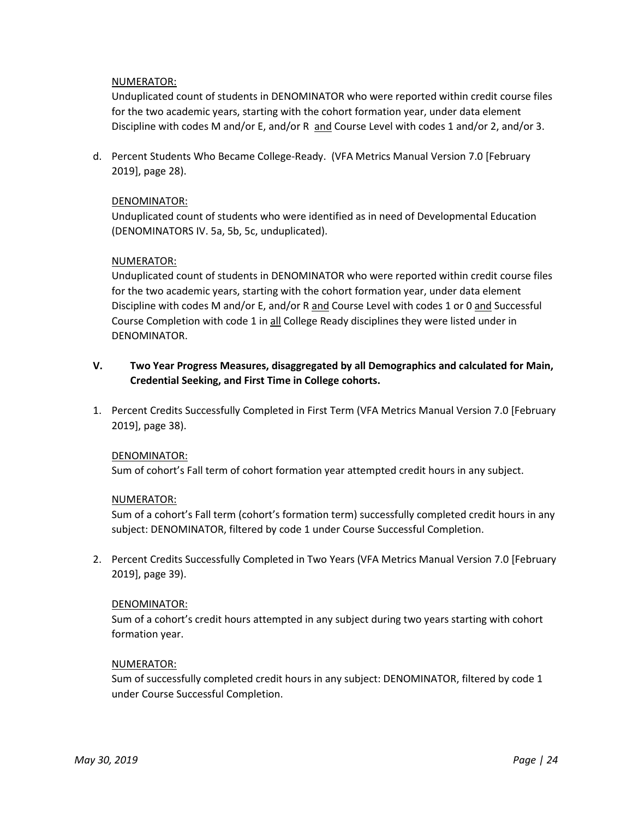#### NUMERATOR:

Unduplicated count of students in DENOMINATOR who were reported within credit course files for the two academic years, starting with the cohort formation year, under data element Discipline with codes M and/or E, and/or R and Course Level with codes 1 and/or 2, and/or 3.

d. Percent Students Who Became College-Ready. (VFA Metrics Manual Version 7.0 [February 2019], page 28).

#### DENOMINATOR:

Unduplicated count of students who were identified as in need of Developmental Education (DENOMINATORS IV. 5a, 5b, 5c, unduplicated).

#### NUMERATOR:

Unduplicated count of students in DENOMINATOR who were reported within credit course files for the two academic years, starting with the cohort formation year, under data element Discipline with codes M and/or E, and/or R and Course Level with codes 1 or 0 and Successful Course Completion with code 1 in all College Ready disciplines they were listed under in DENOMINATOR.

#### **V. Two Year Progress Measures, disaggregated by all Demographics and calculated for Main, Credential Seeking, and First Time in College cohorts.**

1. Percent Credits Successfully Completed in First Term (VFA Metrics Manual Version 7.0 [February 2019], page 38).

#### DENOMINATOR:

Sum of cohort's Fall term of cohort formation year attempted credit hours in any subject.

#### NUMERATOR:

Sum of a cohort's Fall term (cohort's formation term) successfully completed credit hours in any subject: DENOMINATOR, filtered by code 1 under Course Successful Completion.

2. Percent Credits Successfully Completed in Two Years (VFA Metrics Manual Version 7.0 [February 2019], page 39).

#### DENOMINATOR:

Sum of a cohort's credit hours attempted in any subject during two years starting with cohort formation year.

#### NUMERATOR:

Sum of successfully completed credit hours in any subject: DENOMINATOR, filtered by code 1 under Course Successful Completion.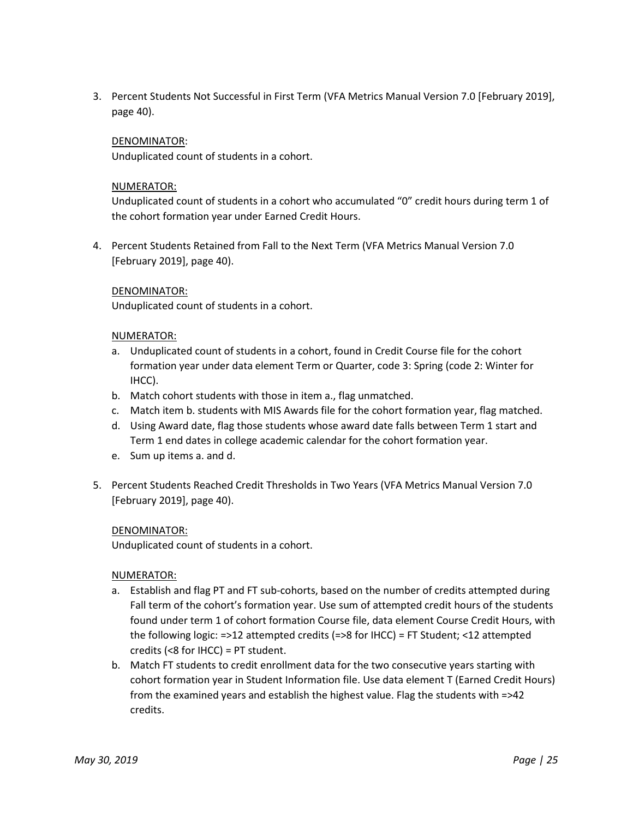3. Percent Students Not Successful in First Term (VFA Metrics Manual Version 7.0 [February 2019], page 40).

#### DENOMINATOR:

Unduplicated count of students in a cohort.

#### NUMERATOR:

Unduplicated count of students in a cohort who accumulated "0" credit hours during term 1 of the cohort formation year under Earned Credit Hours.

4. Percent Students Retained from Fall to the Next Term (VFA Metrics Manual Version 7.0 [February 2019], page 40).

#### DENOMINATOR:

Unduplicated count of students in a cohort.

#### NUMERATOR:

- a. Unduplicated count of students in a cohort, found in Credit Course file for the cohort formation year under data element Term or Quarter, code 3: Spring (code 2: Winter for IHCC).
- b. Match cohort students with those in item a., flag unmatched.
- c. Match item b. students with MIS Awards file for the cohort formation year, flag matched.
- d. Using Award date, flag those students whose award date falls between Term 1 start and Term 1 end dates in college academic calendar for the cohort formation year.
- e. Sum up items a. and d.
- 5. Percent Students Reached Credit Thresholds in Two Years (VFA Metrics Manual Version 7.0 [February 2019], page 40).

#### DENOMINATOR:

Unduplicated count of students in a cohort.

NUMERATOR:

- a. Establish and flag PT and FT sub-cohorts, based on the number of credits attempted during Fall term of the cohort's formation year. Use sum of attempted credit hours of the students found under term 1 of cohort formation Course file, data element Course Credit Hours, with the following logic: =>12 attempted credits (=>8 for IHCC) = FT Student; <12 attempted credits (<8 for IHCC) = PT student.
- b. Match FT students to credit enrollment data for the two consecutive years starting with cohort formation year in Student Information file. Use data element T (Earned Credit Hours) from the examined years and establish the highest value. Flag the students with =>42 credits.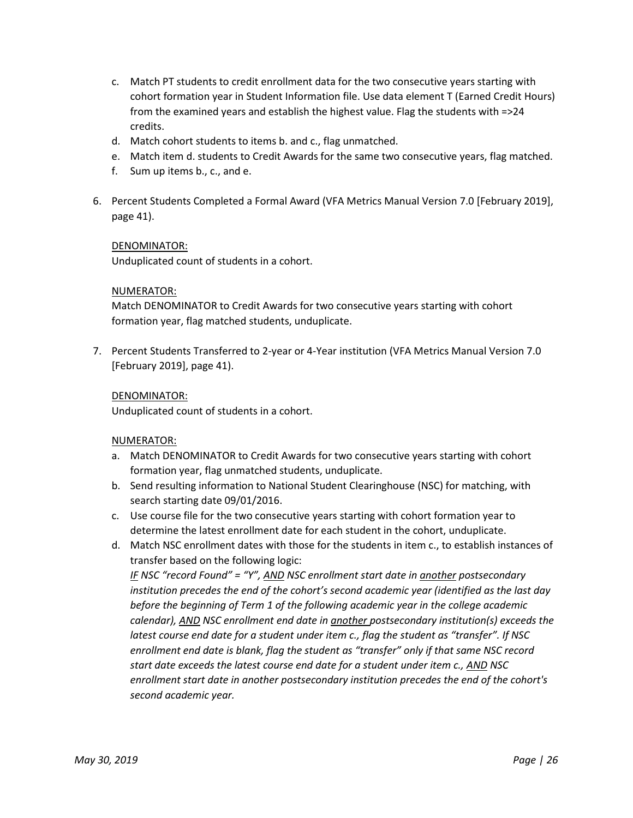- c. Match PT students to credit enrollment data for the two consecutive years starting with cohort formation year in Student Information file. Use data element T (Earned Credit Hours) from the examined years and establish the highest value. Flag the students with =>24 credits.
- d. Match cohort students to items b. and c., flag unmatched.
- e. Match item d. students to Credit Awards for the same two consecutive years, flag matched.
- f. Sum up items b., c., and e.
- 6. Percent Students Completed a Formal Award (VFA Metrics Manual Version 7.0 [February 2019], page 41).

#### DENOMINATOR:

Unduplicated count of students in a cohort.

#### NUMERATOR:

Match DENOMINATOR to Credit Awards for two consecutive years starting with cohort formation year, flag matched students, unduplicate.

7. Percent Students Transferred to 2-year or 4-Year institution (VFA Metrics Manual Version 7.0 [February 2019], page 41).

#### DENOMINATOR:

Unduplicated count of students in a cohort.

NUMERATOR:

- a. Match DENOMINATOR to Credit Awards for two consecutive years starting with cohort formation year, flag unmatched students, unduplicate.
- b. Send resulting information to National Student Clearinghouse (NSC) for matching, with search starting date 09/01/2016.
- c. Use course file for the two consecutive years starting with cohort formation year to determine the latest enrollment date for each student in the cohort, unduplicate.
- d. Match NSC enrollment dates with those for the students in item c., to establish instances of transfer based on the following logic:

*IF NSC "record Found" = "Y", AND NSC enrollment start date in another postsecondary institution precedes the end of the cohort's second academic year (identified as the last day before the beginning of Term 1 of the following academic year in the college academic calendar), AND NSC enrollment end date in another postsecondary institution(s) exceeds the latest course end date for a student under item c., flag the student as "transfer". If NSC enrollment end date is blank, flag the student as "transfer" only if that same NSC record start date exceeds the latest course end date for a student under item c., AND NSC enrollment start date in another postsecondary institution precedes the end of the cohort's second academic year.*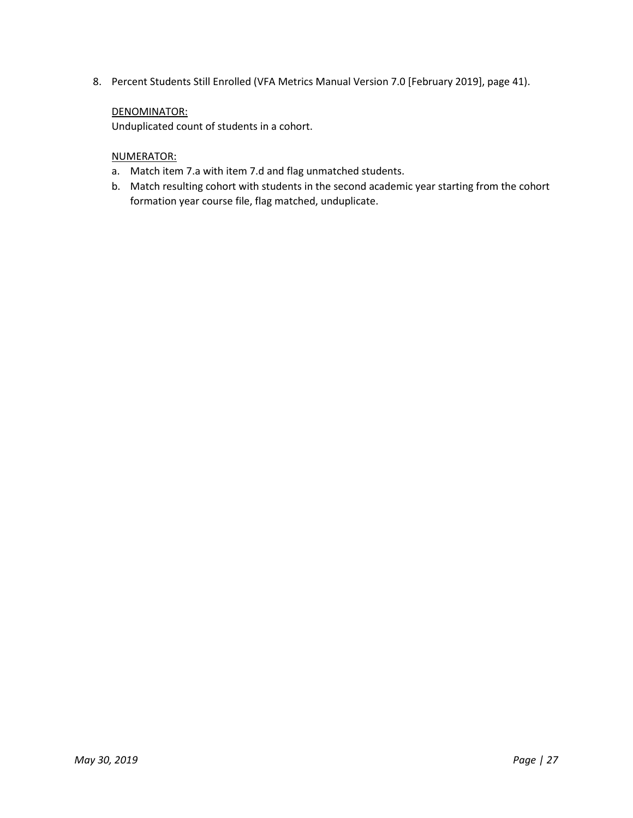8. Percent Students Still Enrolled (VFA Metrics Manual Version 7.0 [February 2019], page 41).

#### DENOMINATOR:

Unduplicated count of students in a cohort.

#### NUMERATOR:

- a. Match item 7.a with item 7.d and flag unmatched students.
- <span id="page-26-0"></span>b. Match resulting cohort with students in the second academic year starting from the cohort formation year course file, flag matched, unduplicate.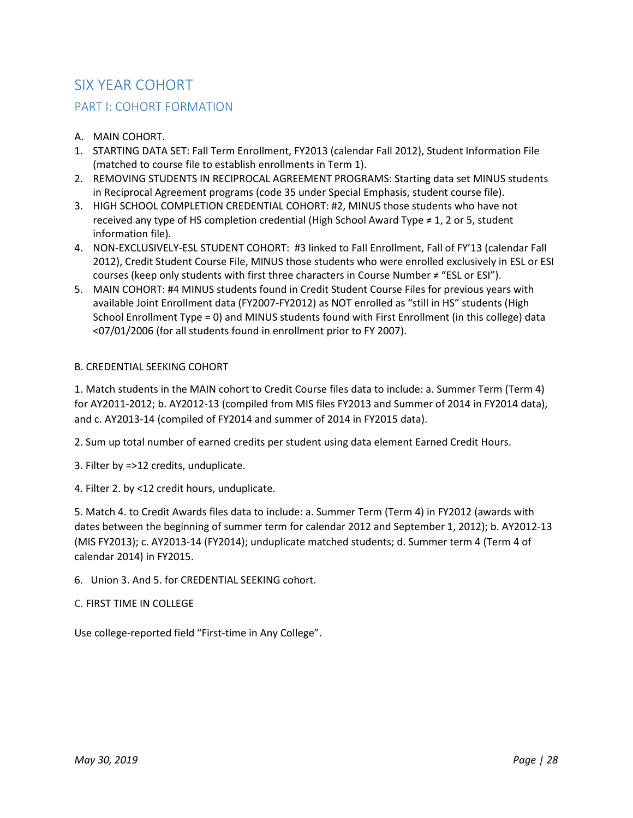# <span id="page-27-0"></span>SIX YEAR COHORT PART I: COHORT FORMATION

# A. MAIN COHORT.

- 1. STARTING DATA SET: Fall Term Enrollment, FY2013 (calendar Fall 2012), Student Information File (matched to course file to establish enrollments in Term 1).
- 2. REMOVING STUDENTS IN RECIPROCAL AGREEMENT PROGRAMS: Starting data set MINUS students in Reciprocal Agreement programs (code 35 under Special Emphasis, student course file).
- 3. HIGH SCHOOL COMPLETION CREDENTIAL COHORT: #2, MINUS those students who have not received any type of HS completion credential (High School Award Type ≠ 1, 2 or 5, student information file).
- 4. NON-EXCLUSIVELY-ESL STUDENT COHORT: #3 linked to Fall Enrollment, Fall of FY'13 (calendar Fall 2012), Credit Student Course File, MINUS those students who were enrolled exclusively in ESL or ESI courses (keep only students with first three characters in Course Number ≠ "ESL or ESI").
- 5. MAIN COHORT: #4 MINUS students found in Credit Student Course Files for previous years with available Joint Enrollment data (FY2007-FY2012) as NOT enrolled as "still in HS" students (High School Enrollment Type = 0) and MINUS students found with First Enrollment (in this college) data <07/01/2006 (for all students found in enrollment prior to FY 2007).

#### B. CREDENTIAL SEEKING COHORT

1. Match students in the MAIN cohort to Credit Course files data to include: a. Summer Term (Term 4) for AY2011-2012; b. AY2012-13 (compiled from MIS files FY2013 and Summer of 2014 in FY2014 data), and c. AY2013-14 (compiled of FY2014 and summer of 2014 in FY2015 data).

2. Sum up total number of earned credits per student using data element Earned Credit Hours.

- 3. Filter by =>12 credits, unduplicate.
- 4. Filter 2. by <12 credit hours, unduplicate.

5. Match 4. to Credit Awards files data to include: a. Summer Term (Term 4) in FY2012 (awards with dates between the beginning of summer term for calendar 2012 and September 1, 2012); b. AY2012-13 (MIS FY2013); c. AY2013-14 (FY2014); unduplicate matched students; d. Summer term 4 (Term 4 of calendar 2014) in FY2015.

#### 6. Union 3. And 5. for CREDENTIAL SEEKING cohort.

C. FIRST TIME IN COLLEGE

Use college-reported field "First-time in Any College".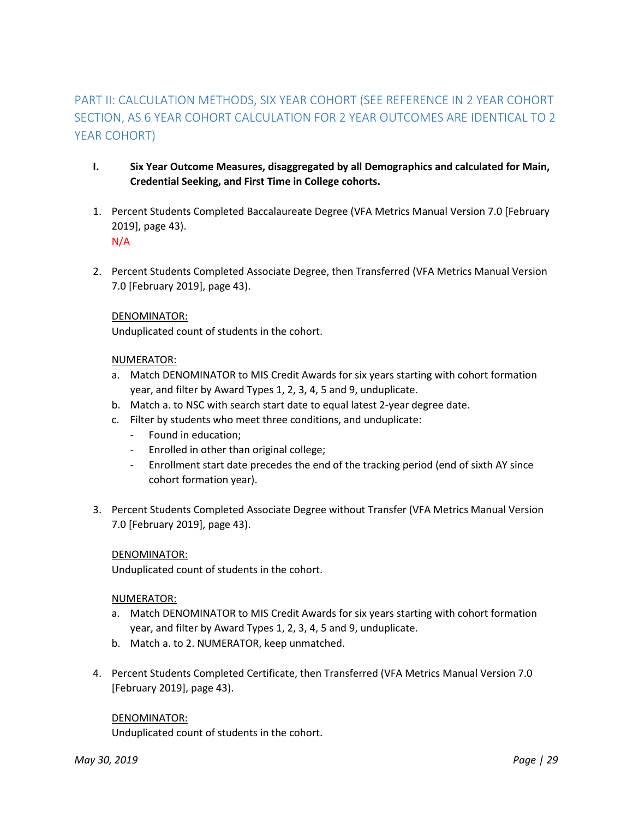### <span id="page-28-0"></span>PART II: CALCULATION METHODS, SIX YEAR COHORT (SEE REFERENCE IN 2 YEAR COHORT SECTION, AS 6 YEAR COHORT CALCULATION FOR 2 YEAR OUTCOMES ARE IDENTICAL TO 2 YEAR COHORT)

- **I. Six Year Outcome Measures, disaggregated by all Demographics and calculated for Main, Credential Seeking, and First Time in College cohorts.**
- 1. Percent Students Completed Baccalaureate Degree (VFA Metrics Manual Version 7.0 [February 2019], page 43). N/A
- 2. Percent Students Completed Associate Degree, then Transferred (VFA Metrics Manual Version 7.0 [February 2019], page 43).

#### DENOMINATOR:

Unduplicated count of students in the cohort.

#### NUMERATOR:

- a. Match DENOMINATOR to MIS Credit Awards for six years starting with cohort formation year, and filter by Award Types 1, 2, 3, 4, 5 and 9, unduplicate.
- b. Match a. to NSC with search start date to equal latest 2-year degree date.
- c. Filter by students who meet three conditions, and unduplicate:
	- Found in education;
	- Enrolled in other than original college;
	- Enrollment start date precedes the end of the tracking period (end of sixth AY since cohort formation year).
- 3. Percent Students Completed Associate Degree without Transfer (VFA Metrics Manual Version 7.0 [February 2019], page 43).

#### DENOMINATOR:

Unduplicated count of students in the cohort.

#### NUMERATOR:

- a. Match DENOMINATOR to MIS Credit Awards for six years starting with cohort formation year, and filter by Award Types 1, 2, 3, 4, 5 and 9, unduplicate.
- b. Match a. to 2. NUMERATOR, keep unmatched.
- 4. Percent Students Completed Certificate, then Transferred (VFA Metrics Manual Version 7.0 [February 2019], page 43).

#### DENOMINATOR:

Unduplicated count of students in the cohort.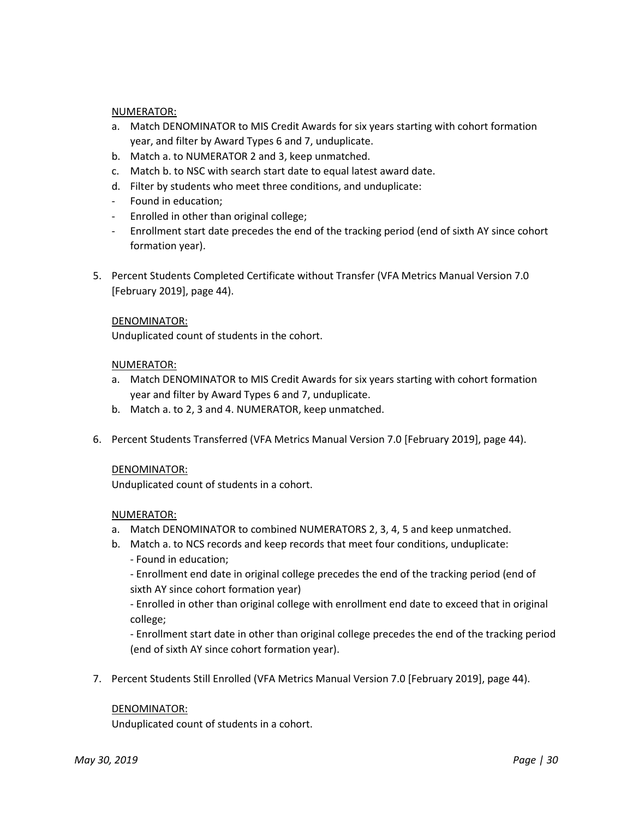#### NUMERATOR:

- a. Match DENOMINATOR to MIS Credit Awards for six years starting with cohort formation year, and filter by Award Types 6 and 7, unduplicate.
- b. Match a. to NUMERATOR 2 and 3, keep unmatched.
- c. Match b. to NSC with search start date to equal latest award date.
- d. Filter by students who meet three conditions, and unduplicate:
- Found in education;
- Enrolled in other than original college;
- Enrollment start date precedes the end of the tracking period (end of sixth AY since cohort formation year).
- 5. Percent Students Completed Certificate without Transfer (VFA Metrics Manual Version 7.0 [February 2019], page 44).

#### DENOMINATOR:

Unduplicated count of students in the cohort.

#### NUMERATOR:

- a. Match DENOMINATOR to MIS Credit Awards for six years starting with cohort formation year and filter by Award Types 6 and 7, unduplicate.
- b. Match a. to 2, 3 and 4. NUMERATOR, keep unmatched.
- 6. Percent Students Transferred (VFA Metrics Manual Version 7.0 [February 2019], page 44).

#### DENOMINATOR:

Unduplicated count of students in a cohort.

#### NUMERATOR:

- a. Match DENOMINATOR to combined NUMERATORS 2, 3, 4, 5 and keep unmatched.
- b. Match a. to NCS records and keep records that meet four conditions, unduplicate: - Found in education;

- Enrollment end date in original college precedes the end of the tracking period (end of sixth AY since cohort formation year)

- Enrolled in other than original college with enrollment end date to exceed that in original college;

- Enrollment start date in other than original college precedes the end of the tracking period (end of sixth AY since cohort formation year).

7. Percent Students Still Enrolled (VFA Metrics Manual Version 7.0 [February 2019], page 44).

#### DENOMINATOR:

Unduplicated count of students in a cohort.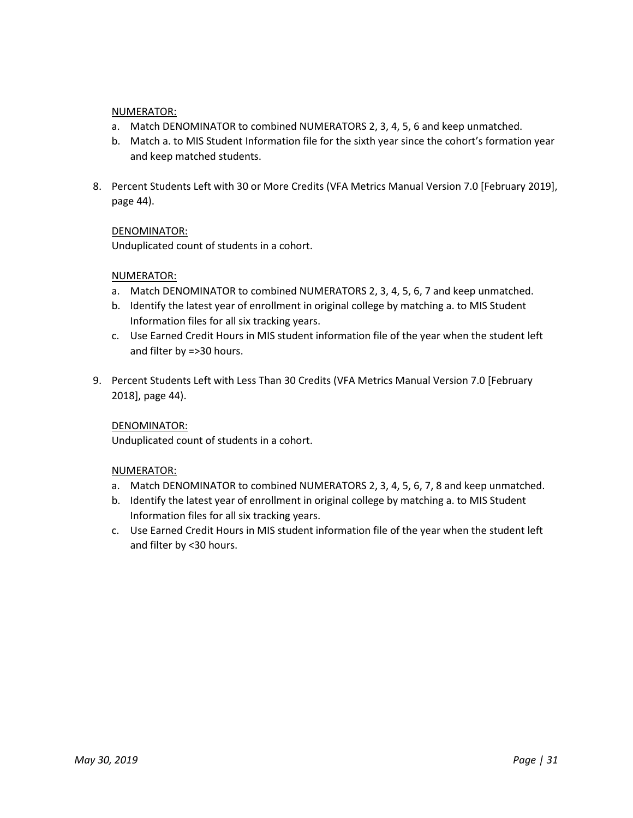#### NUMERATOR:

- a. Match DENOMINATOR to combined NUMERATORS 2, 3, 4, 5, 6 and keep unmatched.
- b. Match a. to MIS Student Information file for the sixth year since the cohort's formation year and keep matched students.
- 8. Percent Students Left with 30 or More Credits (VFA Metrics Manual Version 7.0 [February 2019], page 44).

#### DENOMINATOR:

Unduplicated count of students in a cohort.

#### NUMERATOR:

- a. Match DENOMINATOR to combined NUMERATORS 2, 3, 4, 5, 6, 7 and keep unmatched.
- b. Identify the latest year of enrollment in original college by matching a. to MIS Student Information files for all six tracking years.
- c. Use Earned Credit Hours in MIS student information file of the year when the student left and filter by =>30 hours.
- 9. Percent Students Left with Less Than 30 Credits (VFA Metrics Manual Version 7.0 [February 2018], page 44).

#### DENOMINATOR:

Unduplicated count of students in a cohort.

#### NUMERATOR:

- a. Match DENOMINATOR to combined NUMERATORS 2, 3, 4, 5, 6, 7, 8 and keep unmatched.
- b. Identify the latest year of enrollment in original college by matching a. to MIS Student Information files for all six tracking years.
- c. Use Earned Credit Hours in MIS student information file of the year when the student left and filter by <30 hours.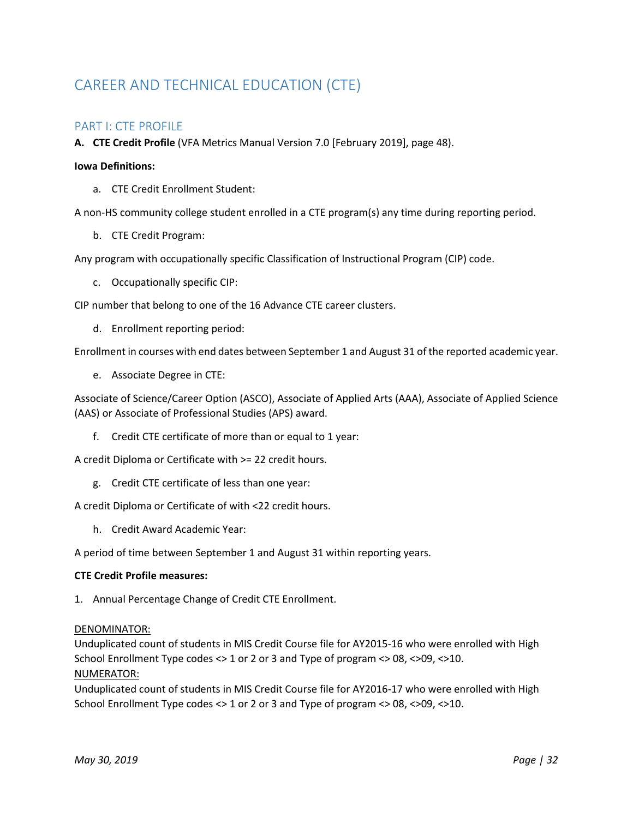# <span id="page-31-0"></span>CAREER AND TECHNICAL EDUCATION (CTE)

#### <span id="page-31-1"></span>PART I: CTE PROFILE

**A. CTE Credit Profile** (VFA Metrics Manual Version 7.0 [February 2019], page 48).

#### **Iowa Definitions:**

a. CTE Credit Enrollment Student:

A non-HS community college student enrolled in a CTE program(s) any time during reporting period.

b. CTE Credit Program:

Any program with occupationally specific Classification of Instructional Program (CIP) code.

c. Occupationally specific CIP:

CIP number that belong to one of the 16 Advance CTE career clusters.

d. Enrollment reporting period:

Enrollment in courses with end dates between September 1 and August 31 of the reported academic year.

e. Associate Degree in CTE:

Associate of Science/Career Option (ASCO), Associate of Applied Arts (AAA), Associate of Applied Science (AAS) or Associate of Professional Studies (APS) award.

f. Credit CTE certificate of more than or equal to 1 year:

A credit Diploma or Certificate with >= 22 credit hours.

g. Credit CTE certificate of less than one year:

A credit Diploma or Certificate of with <22 credit hours.

h. Credit Award Academic Year:

A period of time between September 1 and August 31 within reporting years.

#### **CTE Credit Profile measures:**

1. Annual Percentage Change of Credit CTE Enrollment.

#### DENOMINATOR:

Unduplicated count of students in MIS Credit Course file for AY2015-16 who were enrolled with High School Enrollment Type codes <> 1 or 2 or 3 and Type of program <> 08, <>09, <>10. NUMERATOR:

Unduplicated count of students in MIS Credit Course file for AY2016-17 who were enrolled with High School Enrollment Type codes <> 1 or 2 or 3 and Type of program <> 08, <>09, <>10.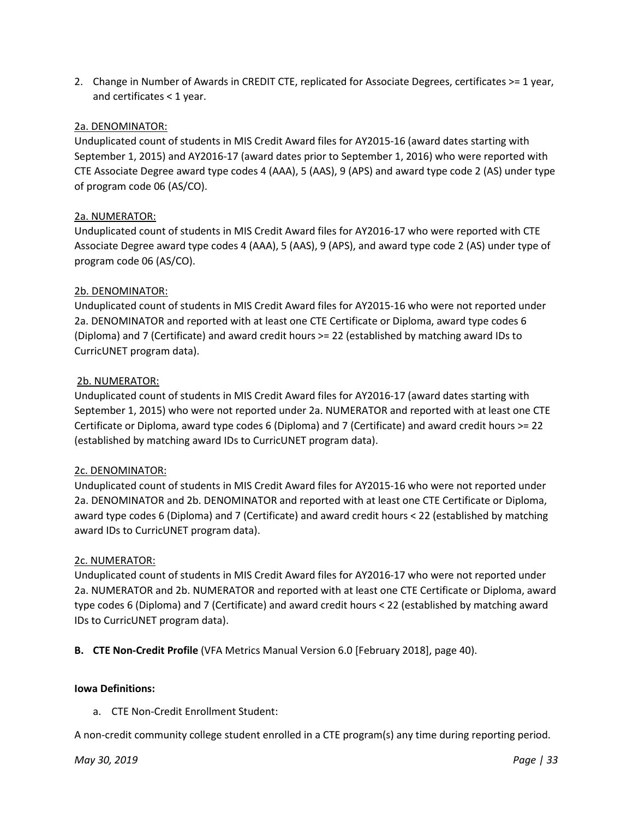2. Change in Number of Awards in CREDIT CTE, replicated for Associate Degrees, certificates >= 1 year, and certificates < 1 year.

#### 2a. DENOMINATOR:

Unduplicated count of students in MIS Credit Award files for AY2015-16 (award dates starting with September 1, 2015) and AY2016-17 (award dates prior to September 1, 2016) who were reported with CTE Associate Degree award type codes 4 (AAA), 5 (AAS), 9 (APS) and award type code 2 (AS) under type of program code 06 (AS/CO).

#### 2a. NUMERATOR:

Unduplicated count of students in MIS Credit Award files for AY2016-17 who were reported with CTE Associate Degree award type codes 4 (AAA), 5 (AAS), 9 (APS), and award type code 2 (AS) under type of program code 06 (AS/CO).

#### 2b. DENOMINATOR:

Unduplicated count of students in MIS Credit Award files for AY2015-16 who were not reported under 2a. DENOMINATOR and reported with at least one CTE Certificate or Diploma, award type codes 6 (Diploma) and 7 (Certificate) and award credit hours >= 22 (established by matching award IDs to CurricUNET program data).

#### 2b. NUMERATOR:

Unduplicated count of students in MIS Credit Award files for AY2016-17 (award dates starting with September 1, 2015) who were not reported under 2a. NUMERATOR and reported with at least one CTE Certificate or Diploma, award type codes 6 (Diploma) and 7 (Certificate) and award credit hours >= 22 (established by matching award IDs to CurricUNET program data).

#### 2c. DENOMINATOR:

Unduplicated count of students in MIS Credit Award files for AY2015-16 who were not reported under 2a. DENOMINATOR and 2b. DENOMINATOR and reported with at least one CTE Certificate or Diploma, award type codes 6 (Diploma) and 7 (Certificate) and award credit hours < 22 (established by matching award IDs to CurricUNET program data).

#### 2c. NUMERATOR:

Unduplicated count of students in MIS Credit Award files for AY2016-17 who were not reported under 2a. NUMERATOR and 2b. NUMERATOR and reported with at least one CTE Certificate or Diploma, award type codes 6 (Diploma) and 7 (Certificate) and award credit hours < 22 (established by matching award IDs to CurricUNET program data).

**B. CTE Non-Credit Profile** (VFA Metrics Manual Version 6.0 [February 2018], page 40).

#### **Iowa Definitions:**

a. CTE Non-Credit Enrollment Student:

A non-credit community college student enrolled in a CTE program(s) any time during reporting period.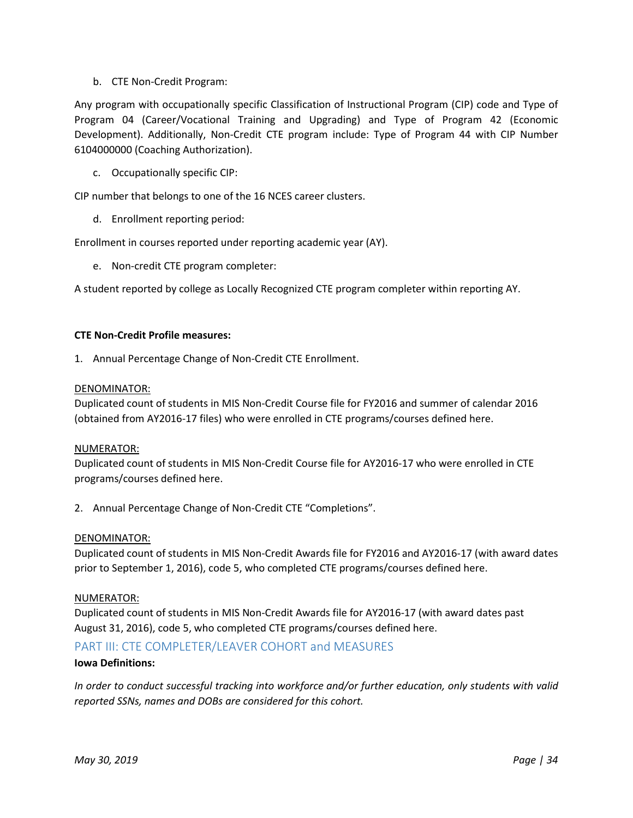#### b. CTE Non-Credit Program:

Any program with occupationally specific Classification of Instructional Program (CIP) code and Type of Program 04 (Career/Vocational Training and Upgrading) and Type of Program 42 (Economic Development). Additionally, Non-Credit CTE program include: Type of Program 44 with CIP Number 6104000000 (Coaching Authorization).

c. Occupationally specific CIP:

CIP number that belongs to one of the 16 NCES career clusters.

d. Enrollment reporting period:

Enrollment in courses reported under reporting academic year (AY).

e. Non-credit CTE program completer:

A student reported by college as Locally Recognized CTE program completer within reporting AY.

#### **CTE Non-Credit Profile measures:**

1. Annual Percentage Change of Non-Credit CTE Enrollment.

#### DENOMINATOR:

Duplicated count of students in MIS Non-Credit Course file for FY2016 and summer of calendar 2016 (obtained from AY2016-17 files) who were enrolled in CTE programs/courses defined here.

#### NUMERATOR:

Duplicated count of students in MIS Non-Credit Course file for AY2016-17 who were enrolled in CTE programs/courses defined here.

2. Annual Percentage Change of Non-Credit CTE "Completions".

#### DENOMINATOR:

Duplicated count of students in MIS Non-Credit Awards file for FY2016 and AY2016-17 (with award dates prior to September 1, 2016), code 5, who completed CTE programs/courses defined here.

#### NUMERATOR:

Duplicated count of students in MIS Non-Credit Awards file for AY2016-17 (with award dates past August 31, 2016), code 5, who completed CTE programs/courses defined here.

#### <span id="page-33-0"></span>PART III: CTE COMPLETER/LEAVER COHORT and MEASURES

#### **Iowa Definitions:**

*In order to conduct successful tracking into workforce and/or further education, only students with valid reported SSNs, names and DOBs are considered for this cohort.*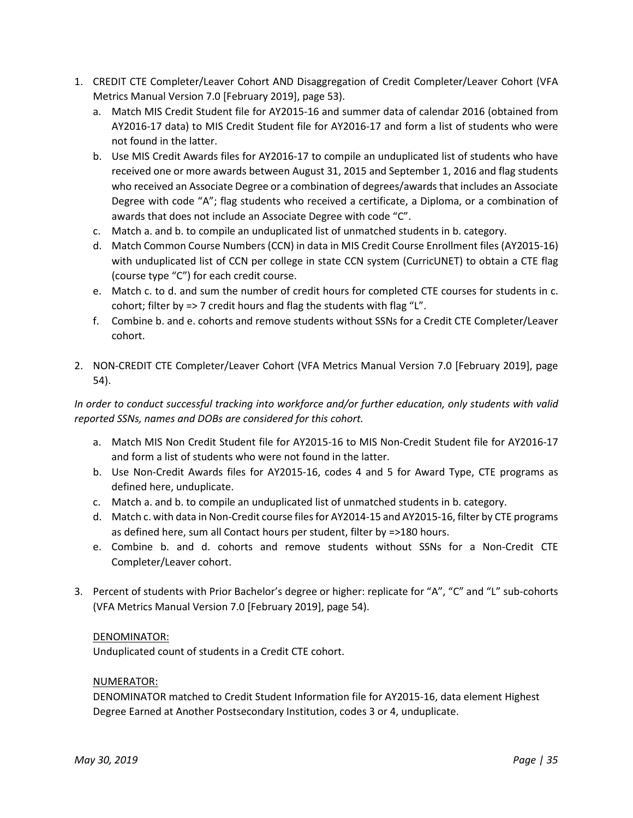- 1. CREDIT CTE Completer/Leaver Cohort AND Disaggregation of Credit Completer/Leaver Cohort (VFA Metrics Manual Version 7.0 [February 2019], page 53).
	- a. Match MIS Credit Student file for AY2015-16 and summer data of calendar 2016 (obtained from AY2016-17 data) to MIS Credit Student file for AY2016-17 and form a list of students who were not found in the latter.
	- b. Use MIS Credit Awards files for AY2016-17 to compile an unduplicated list of students who have received one or more awards between August 31, 2015 and September 1, 2016 and flag students who received an Associate Degree or a combination of degrees/awards that includes an Associate Degree with code "A"; flag students who received a certificate, a Diploma, or a combination of awards that does not include an Associate Degree with code "C".
	- c. Match a. and b. to compile an unduplicated list of unmatched students in b. category.
	- d. Match Common Course Numbers (CCN) in data in MIS Credit Course Enrollment files (AY2015-16) with unduplicated list of CCN per college in state CCN system (CurricUNET) to obtain a CTE flag (course type "C") for each credit course.
	- e. Match c. to d. and sum the number of credit hours for completed CTE courses for students in c. cohort; filter by => 7 credit hours and flag the students with flag "L".
	- f. Combine b. and e. cohorts and remove students without SSNs for a Credit CTE Completer/Leaver cohort.
- 2. NON-CREDIT CTE Completer/Leaver Cohort (VFA Metrics Manual Version 7.0 [February 2019], page 54).

*In order to conduct successful tracking into workforce and/or further education, only students with valid reported SSNs, names and DOBs are considered for this cohort.*

- a. Match MIS Non Credit Student file for AY2015-16 to MIS Non-Credit Student file for AY2016-17 and form a list of students who were not found in the latter.
- b. Use Non-Credit Awards files for AY2015-16, codes 4 and 5 for Award Type, CTE programs as defined here, unduplicate.
- c. Match a. and b. to compile an unduplicated list of unmatched students in b. category.
- d. Match c. with data in Non-Credit course files for AY2014-15 and AY2015-16, filter by CTE programs as defined here, sum all Contact hours per student, filter by =>180 hours.
- e. Combine b. and d. cohorts and remove students without SSNs for a Non-Credit CTE Completer/Leaver cohort.
- 3. Percent of students with Prior Bachelor's degree or higher: replicate for "A", "C" and "L" sub-cohorts (VFA Metrics Manual Version 7.0 [February 2019], page 54).

#### DENOMINATOR:

Unduplicated count of students in a Credit CTE cohort.

#### NUMERATOR:

DENOMINATOR matched to Credit Student Information file for AY2015-16, data element Highest Degree Earned at Another Postsecondary Institution, codes 3 or 4, unduplicate.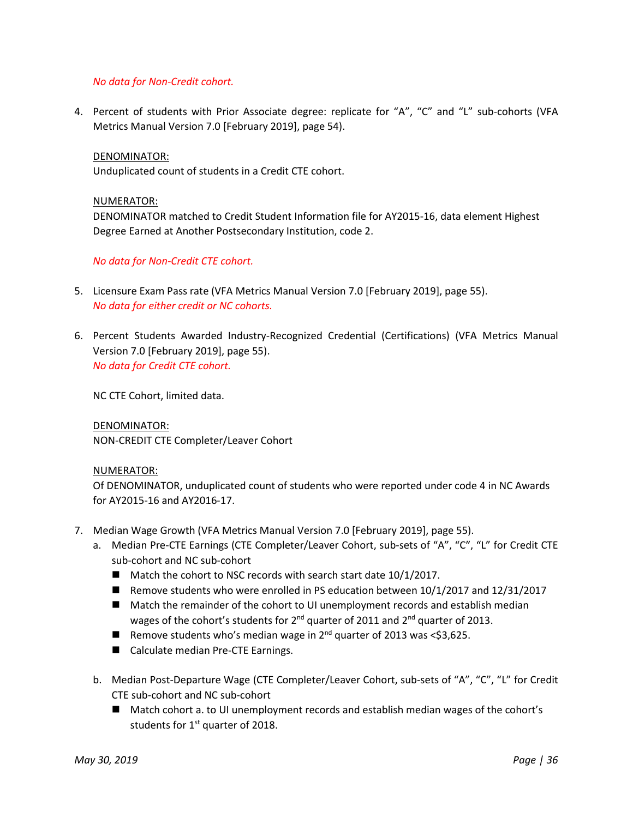#### *No data for Non-Credit cohort.*

4. Percent of students with Prior Associate degree: replicate for "A", "C" and "L" sub-cohorts (VFA Metrics Manual Version 7.0 [February 2019], page 54).

#### DENOMINATOR:

Unduplicated count of students in a Credit CTE cohort.

#### NUMERATOR:

DENOMINATOR matched to Credit Student Information file for AY2015-16, data element Highest Degree Earned at Another Postsecondary Institution, code 2.

#### *No data for Non-Credit CTE cohort.*

- 5. Licensure Exam Pass rate (VFA Metrics Manual Version 7.0 [February 2019], page 55). *No data for either credit or NC cohorts.*
- 6. Percent Students Awarded Industry-Recognized Credential (Certifications) (VFA Metrics Manual Version 7.0 [February 2019], page 55). *No data for Credit CTE cohort.*

NC CTE Cohort, limited data.

DENOMINATOR: NON-CREDIT CTE Completer/Leaver Cohort

#### NUMERATOR:

Of DENOMINATOR, unduplicated count of students who were reported under code 4 in NC Awards for AY2015-16 and AY2016-17.

- 7. Median Wage Growth (VFA Metrics Manual Version 7.0 [February 2019], page 55).
	- a. Median Pre-CTE Earnings (CTE Completer/Leaver Cohort, sub-sets of "A", "C", "L" for Credit CTE sub-cohort and NC sub-cohort
		- Match the cohort to NSC records with search start date 10/1/2017.
		- Remove students who were enrolled in PS education between  $10/1/2017$  and  $12/31/2017$
		- Match the remainder of the cohort to UI unemployment records and establish median wages of the cohort's students for  $2^{nd}$  quarter of 2011 and  $2^{nd}$  quarter of 2013.
		- Remove students who's median wage in  $2^{nd}$  quarter of 2013 was <\$3,625.
		- Calculate median Pre-CTE Earnings.
	- b. Median Post-Departure Wage (CTE Completer/Leaver Cohort, sub-sets of "A", "C", "L" for Credit CTE sub-cohort and NC sub-cohort
		- Match cohort a. to UI unemployment records and establish median wages of the cohort's students for 1<sup>st</sup> quarter of 2018.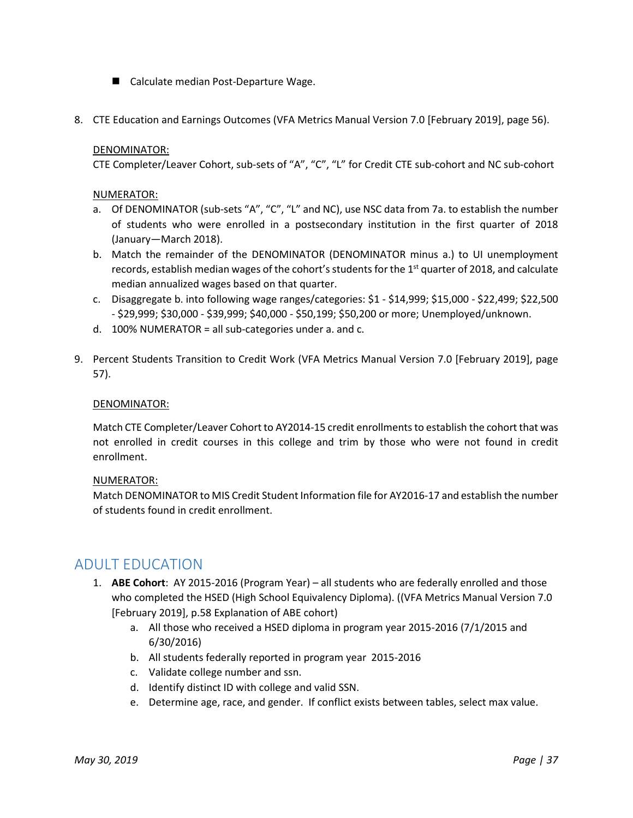- Calculate median Post-Departure Wage.
- 8. CTE Education and Earnings Outcomes (VFA Metrics Manual Version 7.0 [February 2019], page 56).

#### DENOMINATOR:

CTE Completer/Leaver Cohort, sub-sets of "A", "C", "L" for Credit CTE sub-cohort and NC sub-cohort

#### NUMERATOR:

- a. Of DENOMINATOR (sub-sets "A", "C", "L" and NC), use NSC data from 7a. to establish the number of students who were enrolled in a postsecondary institution in the first quarter of 2018 (January—March 2018).
- b. Match the remainder of the DENOMINATOR (DENOMINATOR minus a.) to UI unemployment records, establish median wages of the cohort's students for the  $1<sup>st</sup>$  quarter of 2018, and calculate median annualized wages based on that quarter.
- c. Disaggregate b. into following wage ranges/categories: \$1 \$14,999; \$15,000 \$22,499; \$22,500 - \$29,999; \$30,000 - \$39,999; \$40,000 - \$50,199; \$50,200 or more; Unemployed/unknown.
- d. 100% NUMERATOR = all sub-categories under a. and c.
- 9. Percent Students Transition to Credit Work (VFA Metrics Manual Version 7.0 [February 2019], page 57).

#### DENOMINATOR:

Match CTE Completer/Leaver Cohort to AY2014-15 credit enrollments to establish the cohort that was not enrolled in credit courses in this college and trim by those who were not found in credit enrollment.

#### NUMERATOR:

Match DENOMINATOR to MIS Credit Student Information file for AY2016-17 and establish the number of students found in credit enrollment.

### <span id="page-36-0"></span>ADULT EDUCATION

- 1. **ABE Cohort**: AY 2015-2016 (Program Year) all students who are federally enrolled and those who completed the HSED (High School Equivalency Diploma). ((VFA Metrics Manual Version 7.0 [February 2019], p.58 Explanation of ABE cohort)
	- a. All those who received a HSED diploma in program year 2015-2016 (7/1/2015 and 6/30/2016)
	- b. All students federally reported in program year 2015-2016
	- c. Validate college number and ssn.
	- d. Identify distinct ID with college and valid SSN.
	- e. Determine age, race, and gender. If conflict exists between tables, select max value.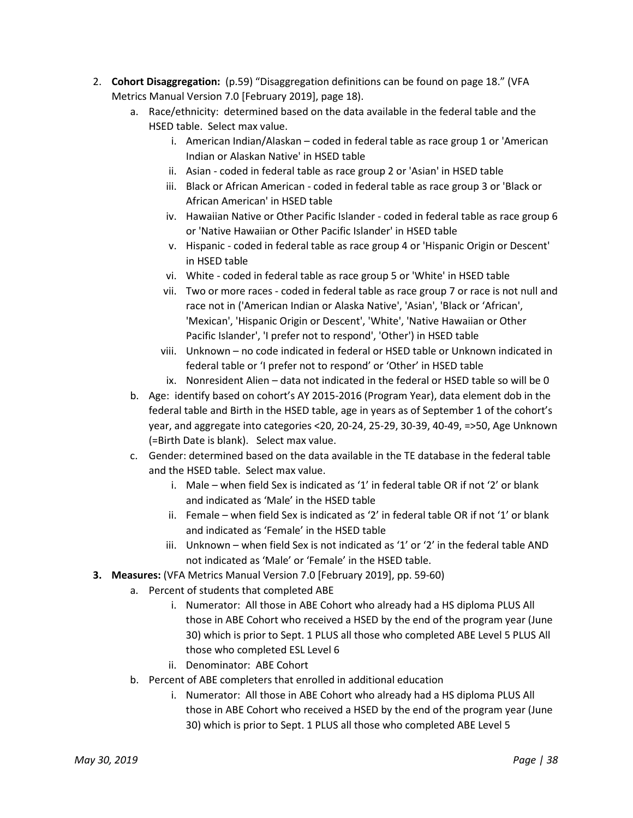- 2. **Cohort Disaggregation:** (p.59) "Disaggregation definitions can be found on page 18." (VFA Metrics Manual Version 7.0 [February 2019], page 18).
	- a. Race/ethnicity: determined based on the data available in the federal table and the HSED table. Select max value.
		- i. American Indian/Alaskan coded in federal table as race group 1 or 'American Indian or Alaskan Native' in HSED table
		- ii. Asian coded in federal table as race group 2 or 'Asian' in HSED table
		- iii. Black or African American coded in federal table as race group 3 or 'Black or African American' in HSED table
		- iv. Hawaiian Native or Other Pacific Islander coded in federal table as race group 6 or 'Native Hawaiian or Other Pacific Islander' in HSED table
		- v. Hispanic coded in federal table as race group 4 or 'Hispanic Origin or Descent' in HSED table
		- vi. White coded in federal table as race group 5 or 'White' in HSED table
		- vii. Two or more races coded in federal table as race group 7 or race is not null and race not in ('American Indian or Alaska Native', 'Asian', 'Black or 'African', 'Mexican', 'Hispanic Origin or Descent', 'White', 'Native Hawaiian or Other Pacific Islander', 'I prefer not to respond', 'Other') in HSED table
		- viii. Unknown no code indicated in federal or HSED table or Unknown indicated in federal table or 'I prefer not to respond' or 'Other' in HSED table
			- ix. Nonresident Alien data not indicated in the federal or HSED table so will be 0
	- b. Age: identify based on cohort's AY 2015-2016 (Program Year), data element dob in the federal table and Birth in the HSED table, age in years as of September 1 of the cohort's year, and aggregate into categories <20, 20-24, 25-29, 30-39, 40-49, =>50, Age Unknown (=Birth Date is blank). Select max value.
	- c. Gender: determined based on the data available in the TE database in the federal table and the HSED table. Select max value.
		- i. Male when field Sex is indicated as '1' in federal table OR if not '2' or blank and indicated as 'Male' in the HSED table
		- ii. Female when field Sex is indicated as '2' in federal table OR if not '1' or blank and indicated as 'Female' in the HSED table
		- iii. Unknown when field Sex is not indicated as '1' or '2' in the federal table AND not indicated as 'Male' or 'Female' in the HSED table.
- **3. Measures:** (VFA Metrics Manual Version 7.0 [February 2019], pp. 59-60)
	- a. Percent of students that completed ABE
		- i. Numerator: All those in ABE Cohort who already had a HS diploma PLUS All those in ABE Cohort who received a HSED by the end of the program year (June 30) which is prior to Sept. 1 PLUS all those who completed ABE Level 5 PLUS All those who completed ESL Level 6
		- ii. Denominator: ABE Cohort
	- b. Percent of ABE completers that enrolled in additional education
		- i. Numerator: All those in ABE Cohort who already had a HS diploma PLUS All those in ABE Cohort who received a HSED by the end of the program year (June 30) which is prior to Sept. 1 PLUS all those who completed ABE Level 5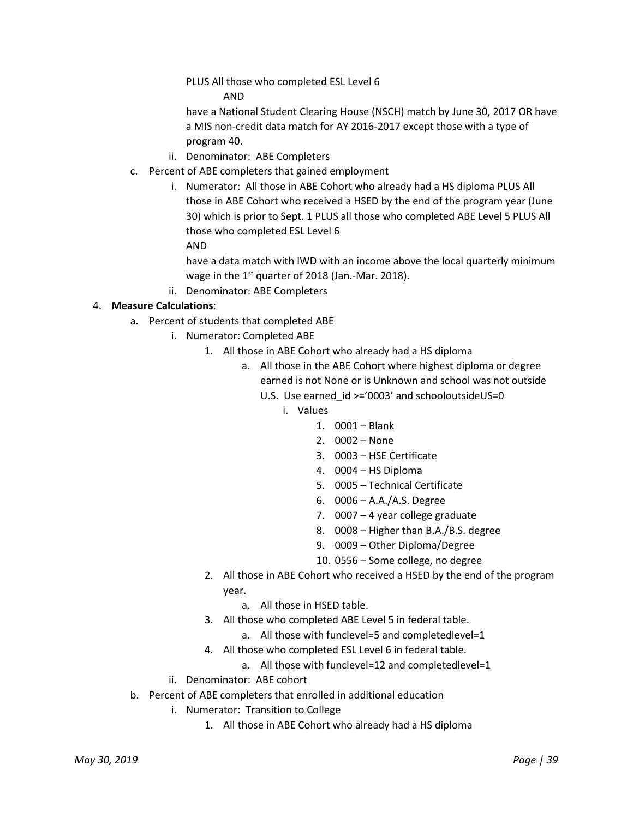PLUS All those who completed ESL Level 6

AND

have a National Student Clearing House (NSCH) match by June 30, 2017 OR have a MIS non-credit data match for AY 2016-2017 except those with a type of program 40.

- ii. Denominator: ABE Completers
- c. Percent of ABE completers that gained employment
	- i. Numerator: All those in ABE Cohort who already had a HS diploma PLUS All those in ABE Cohort who received a HSED by the end of the program year (June 30) which is prior to Sept. 1 PLUS all those who completed ABE Level 5 PLUS All those who completed ESL Level 6 AND

have a data match with IWD with an income above the local quarterly minimum wage in the 1<sup>st</sup> quarter of 2018 (Jan.-Mar. 2018).

ii. Denominator: ABE Completers

#### 4. **Measure Calculations**:

- a. Percent of students that completed ABE
	- i. Numerator: Completed ABE
		- 1. All those in ABE Cohort who already had a HS diploma
			- a. All those in the ABE Cohort where highest diploma or degree earned is not None or is Unknown and school was not outside
				- U.S. Use earned id >='0003' and schooloutsideUS=0
					- i. Values
						- 1. 0001 Blank
						- 2. 0002 None
						- 3. 0003 HSE Certificate
						- 4. 0004 HS Diploma
						- 5. 0005 Technical Certificate
						- 6. 0006 A.A./A.S. Degree
						- 7. 0007 4 year college graduate
						- 8. 0008 Higher than B.A./B.S. degree
						- 9. 0009 Other Diploma/Degree
						- 10. 0556 Some college, no degree
		- 2. All those in ABE Cohort who received a HSED by the end of the program year.
			- a. All those in HSED table.
		- 3. All those who completed ABE Level 5 in federal table.
			- a. All those with funclevel=5 and completedlevel=1
		- 4. All those who completed ESL Level 6 in federal table.
			- a. All those with funclevel=12 and completedlevel=1
	- ii. Denominator: ABE cohort
- b. Percent of ABE completers that enrolled in additional education
	- i. Numerator: Transition to College
		- 1. All those in ABE Cohort who already had a HS diploma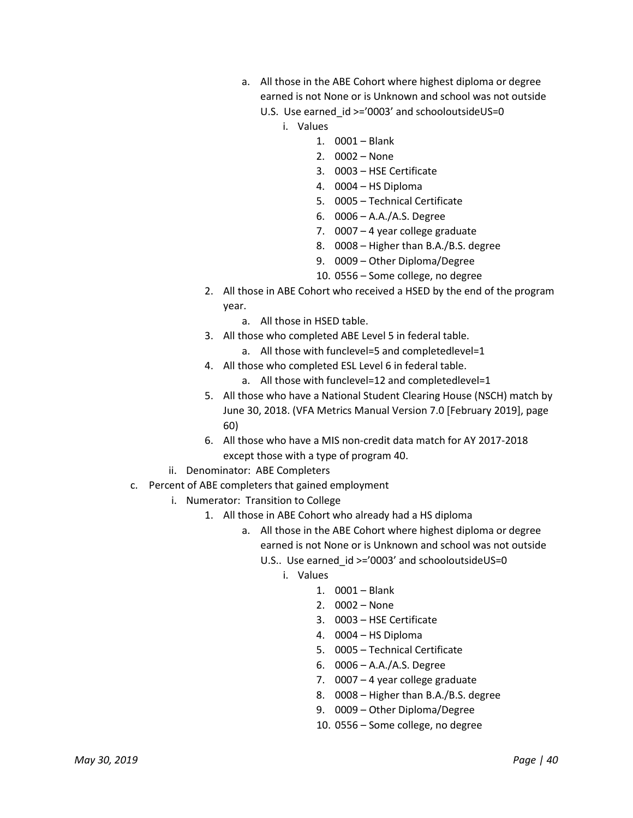- a. All those in the ABE Cohort where highest diploma or degree earned is not None or is Unknown and school was not outside
	- U.S. Use earned id  $>='0003'$  and schooloutsideUS=0
		- i. Values
			- 1. 0001 Blank
			- 2. 0002 None
			- 3. 0003 HSE Certificate
			- 4. 0004 HS Diploma
			- 5. 0005 Technical Certificate
			- 6. 0006 A.A./A.S. Degree
			- 7. 0007 4 year college graduate
			- 8. 0008 Higher than B.A./B.S. degree
			- 9. 0009 Other Diploma/Degree
			- 10. 0556 Some college, no degree
- 2. All those in ABE Cohort who received a HSED by the end of the program year.
	- a. All those in HSED table.
- 3. All those who completed ABE Level 5 in federal table.
	- a. All those with funclevel=5 and completedlevel=1
- 4. All those who completed ESL Level 6 in federal table.
	- a. All those with funclevel=12 and completedlevel=1
- 5. All those who have a National Student Clearing House (NSCH) match by June 30, 2018. (VFA Metrics Manual Version 7.0 [February 2019], page 60)
- 6. All those who have a MIS non-credit data match for AY 2017-2018 except those with a type of program 40.
- ii. Denominator: ABE Completers
- c. Percent of ABE completers that gained employment
	- i. Numerator: Transition to College
		- 1. All those in ABE Cohort who already had a HS diploma
			- a. All those in the ABE Cohort where highest diploma or degree earned is not None or is Unknown and school was not outside U.S.. Use earned\_id >='0003' and schooloutsideUS=0
				- i. Values
					- 1. 0001 Blank
					- 2. 0002 None
					- 3. 0003 HSE Certificate
					- 4. 0004 HS Diploma
					- 5. 0005 Technical Certificate
					- 6. 0006 A.A./A.S. Degree
					- 7. 0007 4 year college graduate
					- 8. 0008 Higher than B.A./B.S. degree
					- 9. 0009 Other Diploma/Degree
					- 10. 0556 Some college, no degree